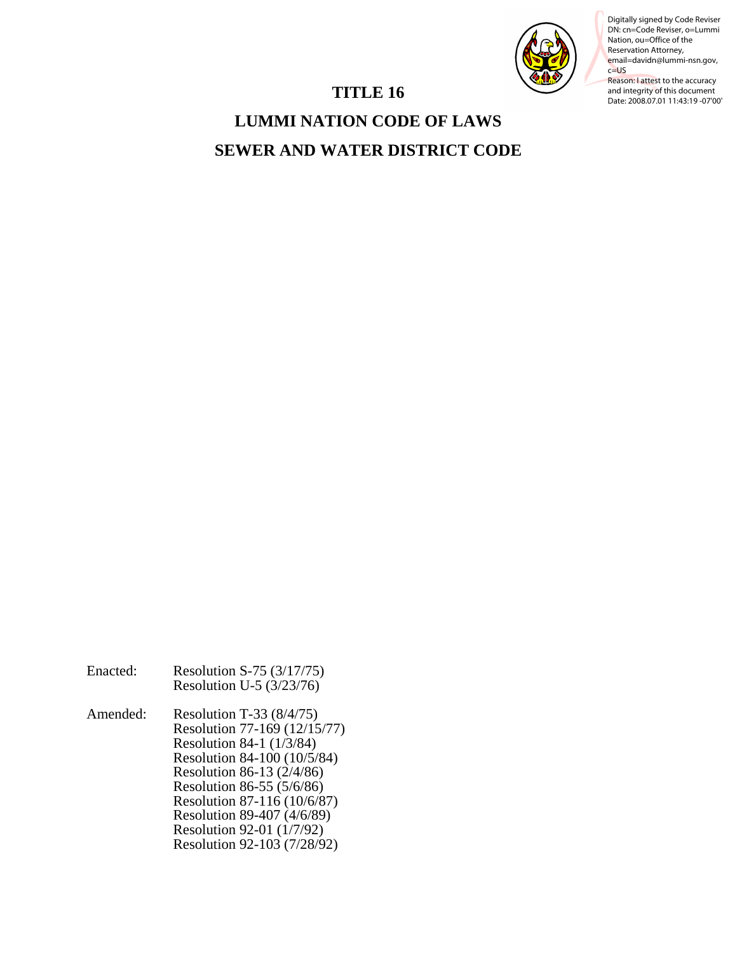

Digitally signed by Code Reviser DN: cn=Code Reviser, o=Lummi Nation, ou=Office of the Reservation Attorney, email=davidn@lummi-nsn.gov, c=US

Reason: I attest to the accuracy and integrity of this document Date: 2008.07.01 11:43:19 -07'00'

# **TITLE 16**

**LUMMI NATION CODE OF LAWS SEWER AND WATER DISTRICT CODE**

| Enacted: | Resolution S-75 (3/17/75)<br>Resolution U-5 $(3/23/76)$                                                                                                                                                                                                                                                  |
|----------|----------------------------------------------------------------------------------------------------------------------------------------------------------------------------------------------------------------------------------------------------------------------------------------------------------|
| Amended: | Resolution T-33 $(8/4/75)$<br>Resolution 77-169 (12/15/77)<br>Resolution 84-1 (1/3/84)<br>Resolution 84-100 (10/5/84)<br>Resolution 86-13 (2/4/86)<br>Resolution 86-55 (5/6/86)<br>Resolution 87-116 (10/6/87)<br>Resolution 89-407 (4/6/89)<br>Resolution 92-01 (1/7/92)<br>Resolution 92-103 (7/28/92) |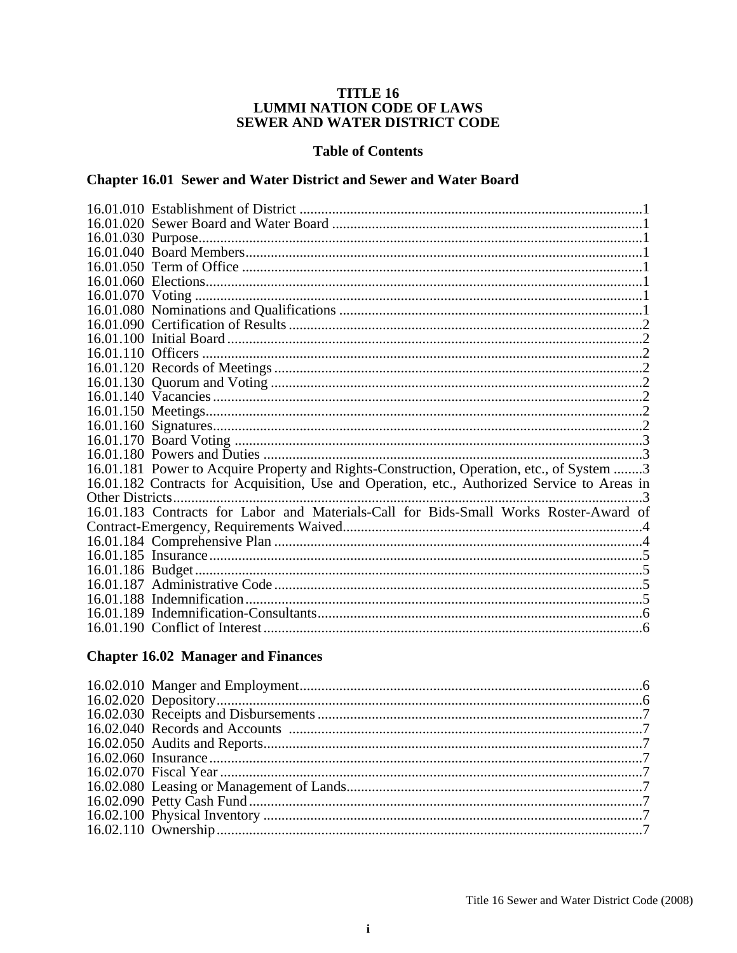# **TITLE 16** LUMMI NATION CODE OF LAWS<br>SEWER AND WATER DISTRICT CODE

#### **Table of Contents**

# Chapter 16.01 Sewer and Water District and Sewer and Water Board

|                  | 16.01.181 Power to Acquire Property and Rights-Construction, Operation, etc., of System 3    |  |
|------------------|----------------------------------------------------------------------------------------------|--|
|                  | 16.01.182 Contracts for Acquisition, Use and Operation, etc., Authorized Service to Areas in |  |
| Other Districts. |                                                                                              |  |
|                  | 16.01.183 Contracts for Labor and Materials-Call for Bids-Small Works Roster-Award of        |  |
|                  |                                                                                              |  |
|                  |                                                                                              |  |
|                  |                                                                                              |  |
|                  |                                                                                              |  |
|                  |                                                                                              |  |
|                  |                                                                                              |  |
|                  |                                                                                              |  |
|                  |                                                                                              |  |
|                  |                                                                                              |  |

# **Chapter 16.02 Manager and Finances**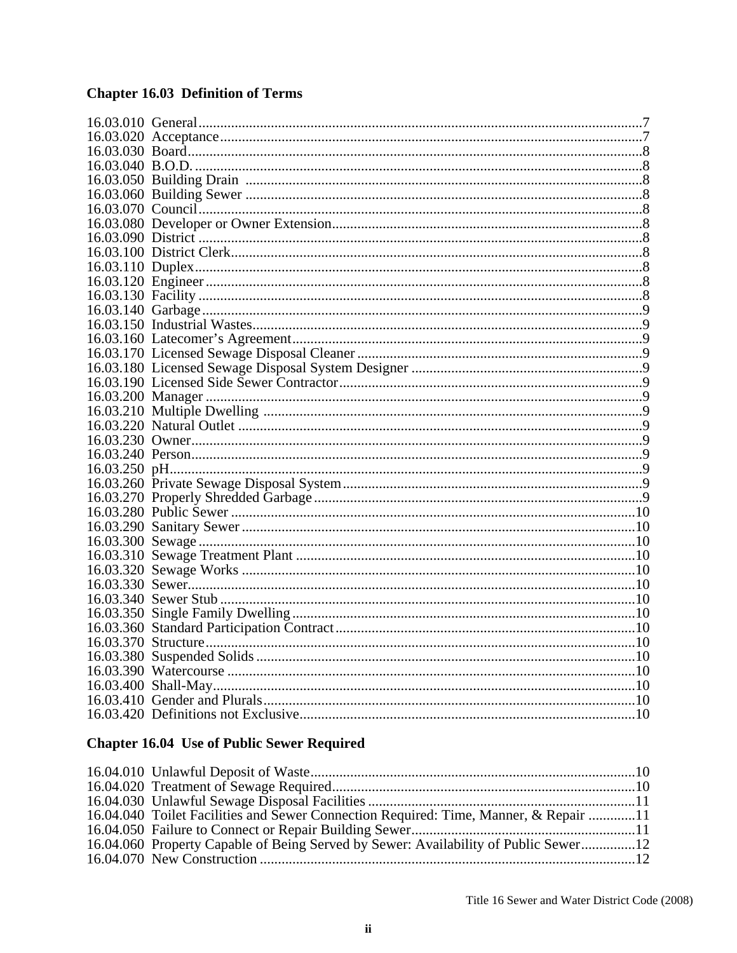# **Chapter 16.03 Definition of Terms**

# **Chapter 16.04 Use of Public Sewer Required**

| 16.04.040 Toilet Facilities and Sewer Connection Required: Time, Manner, & Repair 11 |  |
|--------------------------------------------------------------------------------------|--|
|                                                                                      |  |
| 16.04.060 Property Capable of Being Served by Sewer: Availability of Public Sewer12  |  |
|                                                                                      |  |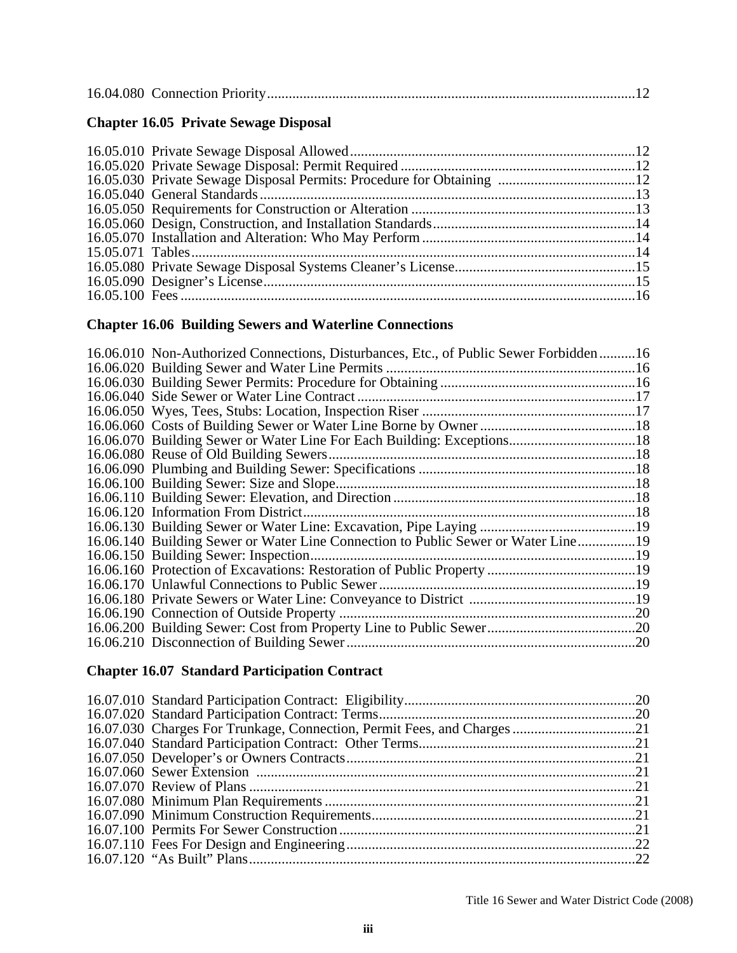|--|--|--|--|

# **Chapter 16.05 Private Sewage Disposal**

# **Chapter 16.06 Building Sewers and Waterline Connections**

| 16.06.010 Non-Authorized Connections, Disturbances, Etc., of Public Sewer Forbidden16 |     |
|---------------------------------------------------------------------------------------|-----|
|                                                                                       |     |
|                                                                                       |     |
|                                                                                       |     |
|                                                                                       |     |
|                                                                                       |     |
| 16.06.070 Building Sewer or Water Line For Each Building: Exceptions18                |     |
|                                                                                       |     |
|                                                                                       |     |
|                                                                                       |     |
|                                                                                       |     |
| 16.06.120 Information From District.                                                  |     |
|                                                                                       |     |
| 16.06.140 Building Sewer or Water Line Connection to Public Sewer or Water Line19     |     |
|                                                                                       |     |
|                                                                                       |     |
|                                                                                       |     |
|                                                                                       |     |
|                                                                                       |     |
|                                                                                       |     |
|                                                                                       | .20 |
|                                                                                       |     |

# **Chapter 16.07 Standard Participation Contract**

| 16.07.030 Charges For Trunkage, Connection, Permit Fees, and Charges21 |  |
|------------------------------------------------------------------------|--|
|                                                                        |  |
|                                                                        |  |
|                                                                        |  |
|                                                                        |  |
|                                                                        |  |
|                                                                        |  |
|                                                                        |  |
|                                                                        |  |
|                                                                        |  |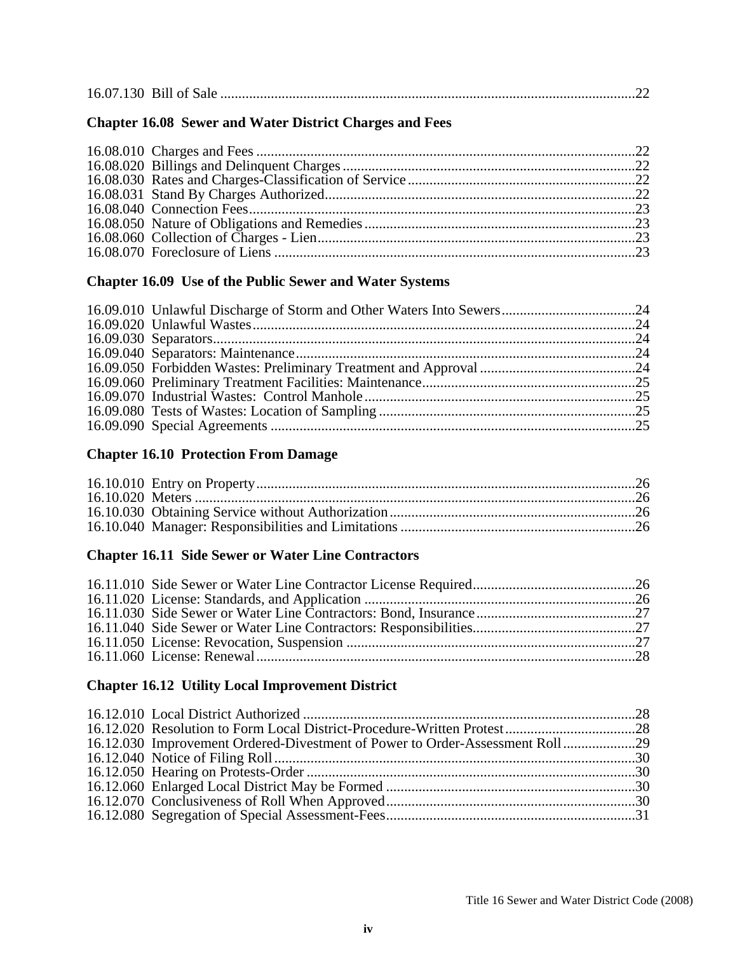|--|--|--|--|

# **Chapter 16.08 Sewer and Water District Charges and Fees**

# **Chapter 16.09 Use of the Public Sewer and Water Systems**

# **Chapter 16.10 Protection From Damage**

# **Chapter 16.11 Side Sewer or Water Line Contractors**

# **Chapter 16.12 Utility Local Improvement District**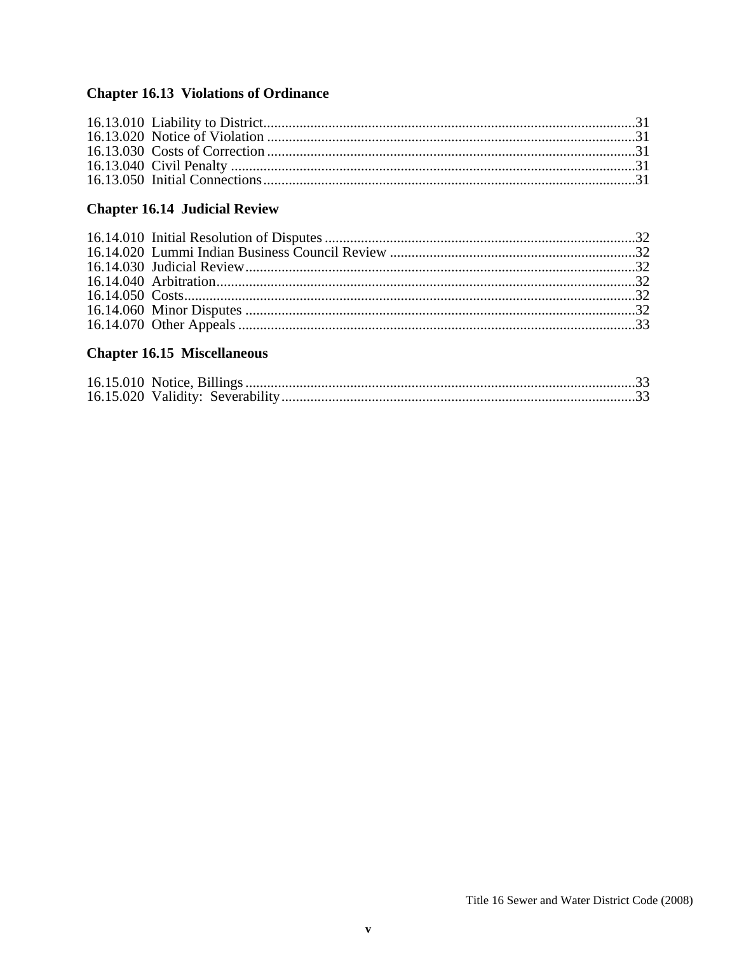# **Chapter 16.13 Violations of Ordinance**

# **Chapter 16.14 Judicial Review**

# **Chapter 16.15 Miscellaneous**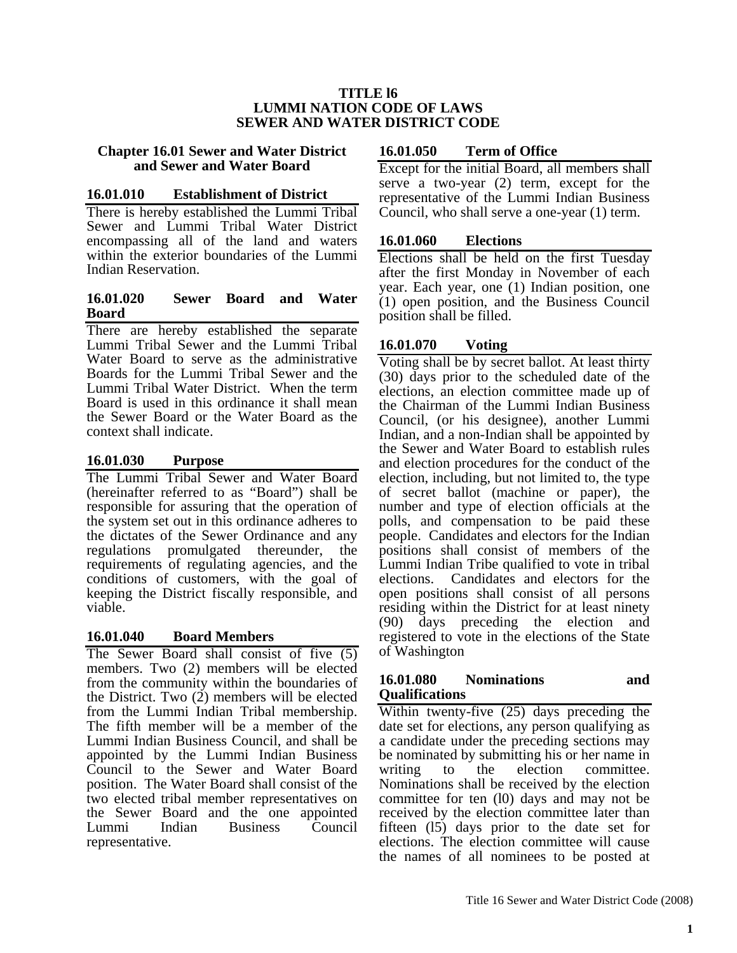#### **TITLE l6 LUMMI NATION CODE OF LAWS SEWER AND WATER DISTRICT CODE**

#### **Chapter 16.01 Sewer and Water District and Sewer and Water Board**

#### **16.01.010 Establishment of District**

There is hereby established the Lummi Tribal Sewer and Lummi Tribal Water District encompassing all of the land and waters within the exterior boundaries of the Lummi Indian Reservation.

#### **16.01.020 Sewer Board and Water Board**

There are hereby established the separate Lummi Tribal Sewer and the Lummi Tribal Water Board to serve as the administrative Boards for the Lummi Tribal Sewer and the Lummi Tribal Water District. When the term Board is used in this ordinance it shall mean the Sewer Board or the Water Board as the context shall indicate.

## **16.01.030 Purpose**

The Lummi Tribal Sewer and Water Board (hereinafter referred to as "Board") shall be responsible for assuring that the operation of the system set out in this ordinance adheres to the dictates of the Sewer Ordinance and any regulations promulgated thereunder, the requirements of regulating agencies, and the conditions of customers, with the goal of keeping the District fiscally responsible, and viable.

## **16.01.040 Board Members**

The Sewer Board shall consist of five (5) members. Two (2) members will be elected from the community within the boundaries of the District. Two (2) members will be elected from the Lummi Indian Tribal membership. The fifth member will be a member of the Lummi Indian Business Council, and shall be appointed by the Lummi Indian Business Council to the Sewer and Water Board position. The Water Board shall consist of the two elected tribal member representatives on the Sewer Board and the one appointed<br>Lummi Indian Business Council Lummi Indian Business representative.

## **16.01.050 Term of Office**

Except for the initial Board, all members shall serve a two-year (2) term, except for the representative of the Lummi Indian Business Council, who shall serve a one-year (1) term.

## **16.01.060 Elections**

Elections shall be held on the first Tuesday after the first Monday in November of each year. Each year, one (1) Indian position, one (1) open position, and the Business Council position shall be filled.

## **16.01.070 Voting**

Voting shall be by secret ballot. At least thirty (30) days prior to the scheduled date of the elections, an election committee made up of the Chairman of the Lummi Indian Business Council, (or his designee), another Lummi Indian, and a non-Indian shall be appointed by the Sewer and Water Board to establish rules and election procedures for the conduct of the election, including, but not limited to, the type of secret ballot (machine or paper), the number and type of election officials at the polls, and compensation to be paid these people. Candidates and electors for the Indian positions shall consist of members of the Lummi Indian Tribe qualified to vote in tribal elections. Candidates and electors for the open positions shall consist of all persons residing within the District for at least ninety (90) days preceding the election and registered to vote in the elections of the State of Washington

#### **16.01.080 Nominations and Qualifications**

Within twenty-five (25) days preceding the date set for elections, any person qualifying as a candidate under the preceding sections may be nominated by submitting his or her name in writing to the election committee. Nominations shall be received by the election committee for ten (l0) days and may not be received by the election committee later than fifteen (l5) days prior to the date set for elections. The election committee will cause the names of all nominees to be posted at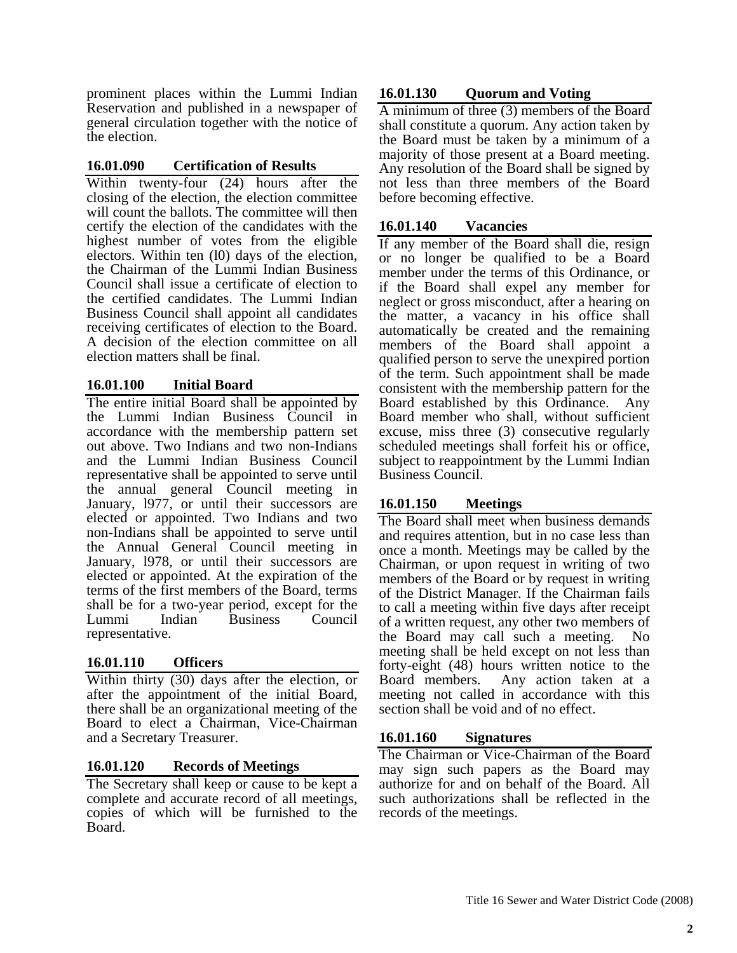prominent places within the Lummi Indian Reservation and published in a newspaper of general circulation together with the notice of the election.

# **16.01.090 Certification of Results**

Within twenty-four (24) hours after the closing of the election, the election committee will count the ballots. The committee will then certify the election of the candidates with the highest number of votes from the eligible electors. Within ten (l0) days of the election, the Chairman of the Lummi Indian Business Council shall issue a certificate of election to the certified candidates. The Lummi Indian Business Council shall appoint all candidates receiving certificates of election to the Board. A decision of the election committee on all election matters shall be final.

# **16.01.100 Initial Board**

The entire initial Board shall be appointed by the Lummi Indian Business Council in accordance with the membership pattern set out above. Two Indians and two non-Indians and the Lummi Indian Business Council representative shall be appointed to serve until the annual general Council meeting in January, 1977, or until their successors are elected or appointed. Two Indians and two non-Indians shall be appointed to serve until the Annual General Council meeting in January, l978, or until their successors are elected or appointed. At the expiration of the terms of the first members of the Board, terms shall be for a two-year period, except for the Lummi Indian Business Council representative.

# **16.01.110 Officers**

Within thirty (30) days after the election, or after the appointment of the initial Board, there shall be an organizational meeting of the Board to elect a Chairman, Vice-Chairman and a Secretary Treasurer.

## **16.01.120 Records of Meetings**

The Secretary shall keep or cause to be kept a complete and accurate record of all meetings, copies of which will be furnished to the Board.

## **16.01.130 Quorum and Voting**

A minimum of three (3) members of the Board shall constitute a quorum. Any action taken by the Board must be taken by a minimum of a majority of those present at a Board meeting. Any resolution of the Board shall be signed by not less than three members of the Board before becoming effective.

#### **16.01.140 Vacancies**

If any member of the Board shall die, resign or no longer be qualified to be a Board member under the terms of this Ordinance, or if the Board shall expel any member for neglect or gross misconduct, after a hearing on the matter, a vacancy in his office shall automatically be created and the remaining members of the Board shall appoint a qualified person to serve the unexpired portion of the term. Such appointment shall be made consistent with the membership pattern for the Board established by this Ordinance. Any Board member who shall, without sufficient excuse, miss three (3) consecutive regularly scheduled meetings shall forfeit his or office, subject to reappointment by the Lummi Indian Business Council.

## **16.01.150 Meetings**

The Board shall meet when business demands and requires attention, but in no case less than once a month. Meetings may be called by the Chairman, or upon request in writing of two members of the Board or by request in writing of the District Manager. If the Chairman fails to call a meeting within five days after receipt of a written request, any other two members of the Board may call such a meeting. No meeting shall be held except on not less than forty-eight (48) hours written notice to the Board members. Any action taken at a meeting not called in accordance with this section shall be void and of no effect.

## **16.01.160 Signatures**

The Chairman or Vice-Chairman of the Board may sign such papers as the Board may authorize for and on behalf of the Board. All such authorizations shall be reflected in the records of the meetings.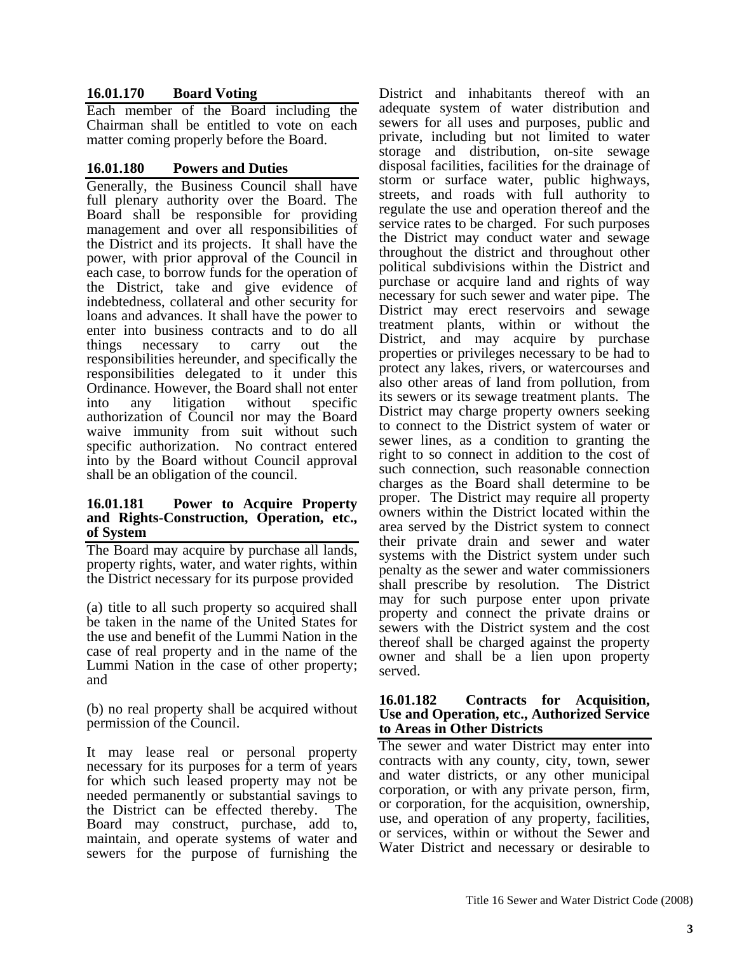# **16.01.170 Board Voting**

Each member of the Board including the Chairman shall be entitled to vote on each matter coming properly before the Board.

#### **16.01.180 Powers and Duties**

Generally, the Business Council shall have full plenary authority over the Board. The Board shall be responsible for providing management and over all responsibilities of the District and its projects. It shall have the power, with prior approval of the Council in each case, to borrow funds for the operation of the District, take and give evidence of indebtedness, collateral and other security for loans and advances. It shall have the power to enter into business contracts and to do all things necessary to carry out the responsibilities hereunder, and specifically the responsibilities delegated to it under this Ordinance. However, the Board shall not enter into any litigation without specific authorization of Council nor may the Board waive immunity from suit without such specific authorization. No contract entered into by the Board without Council approval shall be an obligation of the council.

#### **16.01.181 Power to Acquire Property and Rights-Construction, Operation, etc., of System**

The Board may acquire by purchase all lands, property rights, water, and water rights, within the District necessary for its purpose provided

(a) title to all such property so acquired shall be taken in the name of the United States for the use and benefit of the Lummi Nation in the case of real property and in the name of the Lummi Nation in the case of other property; and

(b) no real property shall be acquired without permission of the Council.

It may lease real or personal property necessary for its purposes for a term of years for which such leased property may not be needed permanently or substantial savings to the District can be effected thereby. The Board may construct, purchase, add to, maintain, and operate systems of water and sewers for the purpose of furnishing the

District and inhabitants thereof with an adequate system of water distribution and sewers for all uses and purposes, public and private, including but not limited to water storage and distribution, on-site sewage disposal facilities, facilities for the drainage of storm or surface water, public highways, streets, and roads with full authority to regulate the use and operation thereof and the service rates to be charged. For such purposes the District may conduct water and sewage throughout the district and throughout other political subdivisions within the District and purchase or acquire land and rights of way necessary for such sewer and water pipe. The District may erect reservoirs and sewage treatment plants, within or without the District, and may acquire by purchase properties or privileges necessary to be had to protect any lakes, rivers, or watercourses and also other areas of land from pollution, from its sewers or its sewage treatment plants. The District may charge property owners seeking to connect to the District system of water or sewer lines, as a condition to granting the right to so connect in addition to the cost of such connection, such reasonable connection charges as the Board shall determine to be proper. The District may require all property owners within the District located within the area served by the District system to connect their private drain and sewer and water systems with the District system under such penalty as the sewer and water commissioners shall prescribe by resolution. The District may for such purpose enter upon private property and connect the private drains or sewers with the District system and the cost thereof shall be charged against the property owner and shall be a lien upon property served.

#### **16.01.182 Contracts for Acquisition, Use and Operation, etc., Authorized Service to Areas in Other Districts**

The sewer and water District may enter into contracts with any county, city, town, sewer and water districts, or any other municipal corporation, or with any private person, firm, or corporation, for the acquisition, ownership, use, and operation of any property, facilities, or services, within or without the Sewer and Water District and necessary or desirable to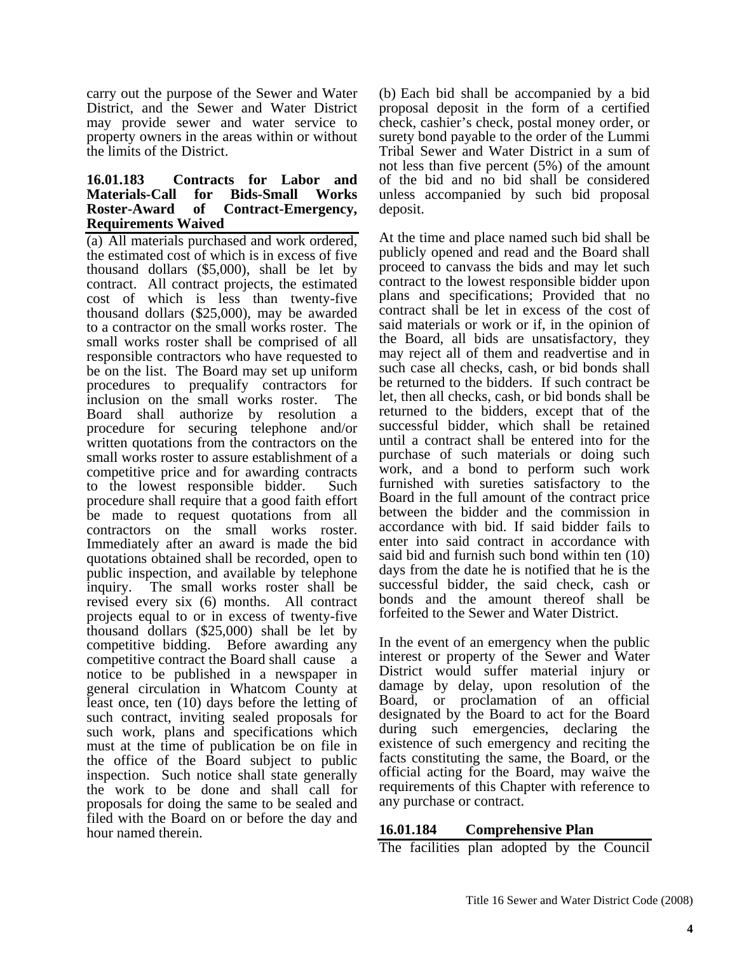carry out the purpose of the Sewer and Water District, and the Sewer and Water District may provide sewer and water service to property owners in the areas within or without the limits of the District.

#### **16.01.183 Contracts for Labor and Materials-Call for Bids-Small Works Roster-Award of Contract-Emergency, Requirements Waived**

(a) All materials purchased and work ordered, the estimated cost of which is in excess of five thousand dollars (\$5,000), shall be let by contract. All contract projects, the estimated cost of which is less than twenty-five thousand dollars (\$25,000), may be awarded to a contractor on the small works roster. The small works roster shall be comprised of all responsible contractors who have requested to be on the list. The Board may set up uniform procedures to prequalify contractors for inclusion on the small works roster. The Board shall authorize by resolution a procedure for securing telephone and/or written quotations from the contractors on the small works roster to assure establishment of a competitive price and for awarding contracts to the lowest responsible bidder. Such procedure shall require that a good faith effort be made to request quotations from all contractors on the small works roster. Immediately after an award is made the bid quotations obtained shall be recorded, open to public inspection, and available by telephone inquiry. The small works roster shall be revised every six (6) months. All contract projects equal to or in excess of twenty-five thousand dollars (\$25,000) shall be let by competitive bidding. Before awarding any competitive contract the Board shall cause a notice to be published in a newspaper in general circulation in Whatcom County at least once, ten (10) days before the letting of such contract, inviting sealed proposals for such work, plans and specifications which must at the time of publication be on file in the office of the Board subject to public inspection. Such notice shall state generally the work to be done and shall call for proposals for doing the same to be sealed and filed with the Board on or before the day and hour named therein.

(b) Each bid shall be accompanied by a bid proposal deposit in the form of a certified check, cashier's check, postal money order, or surety bond payable to the order of the Lummi Tribal Sewer and Water District in a sum of not less than five percent (5%) of the amount of the bid and no bid shall be considered unless accompanied by such bid proposal deposit.

At the time and place named such bid shall be publicly opened and read and the Board shall proceed to canvass the bids and may let such contract to the lowest responsible bidder upon plans and specifications; Provided that no contract shall be let in excess of the cost of said materials or work or if, in the opinion of the Board, all bids are unsatisfactory, they may reject all of them and readvertise and in such case all checks, cash, or bid bonds shall be returned to the bidders. If such contract be let, then all checks, cash, or bid bonds shall be returned to the bidders, except that of the successful bidder, which shall be retained until a contract shall be entered into for the purchase of such materials or doing such work, and a bond to perform such work furnished with sureties satisfactory to the Board in the full amount of the contract price between the bidder and the commission in accordance with bid. If said bidder fails to enter into said contract in accordance with said bid and furnish such bond within ten (10) days from the date he is notified that he is the successful bidder, the said check, cash or bonds and the amount thereof shall be forfeited to the Sewer and Water District.

In the event of an emergency when the public interest or property of the Sewer and Water District would suffer material injury or damage by delay, upon resolution of the Board, or proclamation of an official designated by the Board to act for the Board during such emergencies, declaring the existence of such emergency and reciting the facts constituting the same, the Board, or the official acting for the Board, may waive the requirements of this Chapter with reference to any purchase or contract.

## **16.01.184 Comprehensive Plan**

The facilities plan adopted by the Council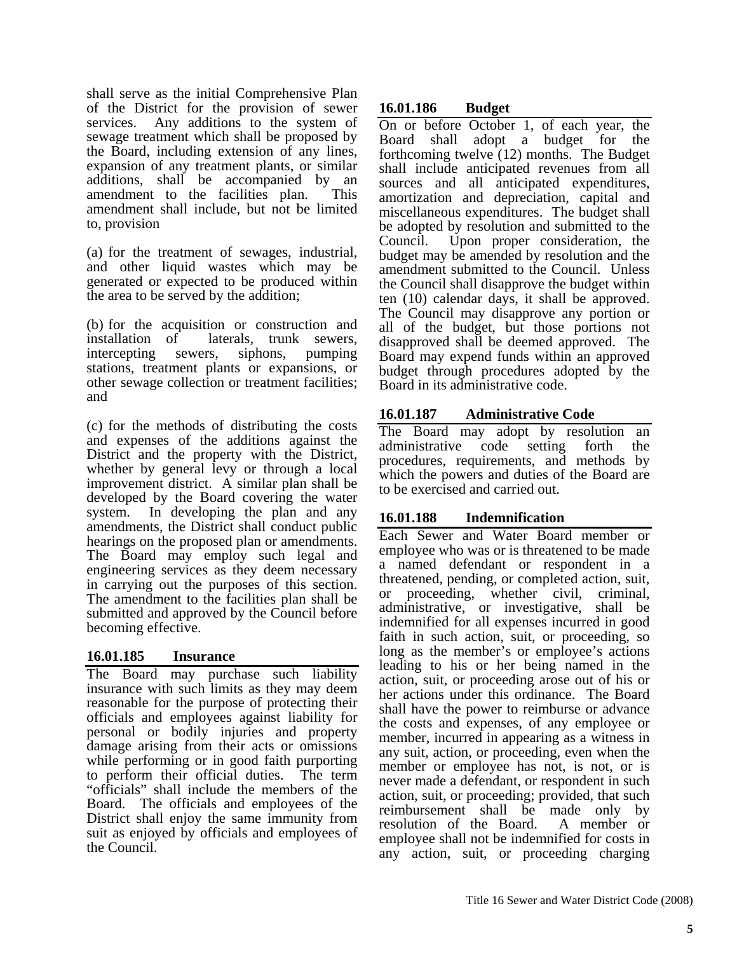shall serve as the initial Comprehensive Plan of the District for the provision of sewer services. Any additions to the system of sewage treatment which shall be proposed by the Board, including extension of any lines, expansion of any treatment plants, or similar additions, shall be accompanied by an amendment to the facilities plan. This amendment shall include, but not be limited to, provision

(a) for the treatment of sewages, industrial, and other liquid wastes which may be generated or expected to be produced within the area to be served by the addition;

(b) for the acquisition or construction and installation of laterals, trunk sewers, intercepting sewers, siphons, pumping stations, treatment plants or expansions, or other sewage collection or treatment facilities; and

(c) for the methods of distributing the costs and expenses of the additions against the District and the property with the District, whether by general levy or through a local improvement district. A similar plan shall be developed by the Board covering the water system. In developing the plan and any amendments, the District shall conduct public hearings on the proposed plan or amendments. The Board may employ such legal and engineering services as they deem necessary in carrying out the purposes of this section. The amendment to the facilities plan shall be submitted and approved by the Council before becoming effective.

# **16.01.185 Insurance**

The Board may purchase such liability insurance with such limits as they may deem reasonable for the purpose of protecting their officials and employees against liability for personal or bodily injuries and property damage arising from their acts or omissions while performing or in good faith purporting to perform their official duties. The term "officials" shall include the members of the Board. The officials and employees of the District shall enjoy the same immunity from suit as enjoyed by officials and employees of the Council.

# **16.01.186 Budget**

On or before October 1, of each year, the Board shall adopt a budget for the forthcoming twelve (12) months. The Budget shall include anticipated revenues from all sources and all anticipated expenditures, amortization and depreciation, capital and miscellaneous expenditures. The budget shall be adopted by resolution and submitted to the Council. Upon proper consideration, the budget may be amended by resolution and the amendment submitted to the Council. Unless the Council shall disapprove the budget within ten (10) calendar days, it shall be approved. The Council may disapprove any portion or all of the budget, but those portions not disapproved shall be deemed approved. The Board may expend funds within an approved budget through procedures adopted by the Board in its administrative code.

# **16.01.187 Administrative Code**

The Board may adopt by resolution an administrative code setting forth the procedures, requirements, and methods by which the powers and duties of the Board are to be exercised and carried out.

# **16.01.188 Indemnification**

Each Sewer and Water Board member or employee who was or is threatened to be made a named defendant or respondent in a threatened, pending, or completed action, suit, or proceeding, whether civil, criminal, administrative, or investigative, shall be indemnified for all expenses incurred in good faith in such action, suit, or proceeding, so long as the member's or employee's actions leading to his or her being named in the action, suit, or proceeding arose out of his or her actions under this ordinance. The Board shall have the power to reimburse or advance the costs and expenses, of any employee or member, incurred in appearing as a witness in any suit, action, or proceeding, even when the member or employee has not, is not, or is never made a defendant, or respondent in such action, suit, or proceeding; provided, that such reimbursement shall be made only by resolution of the Board. A member or employee shall not be indemnified for costs in any action, suit, or proceeding charging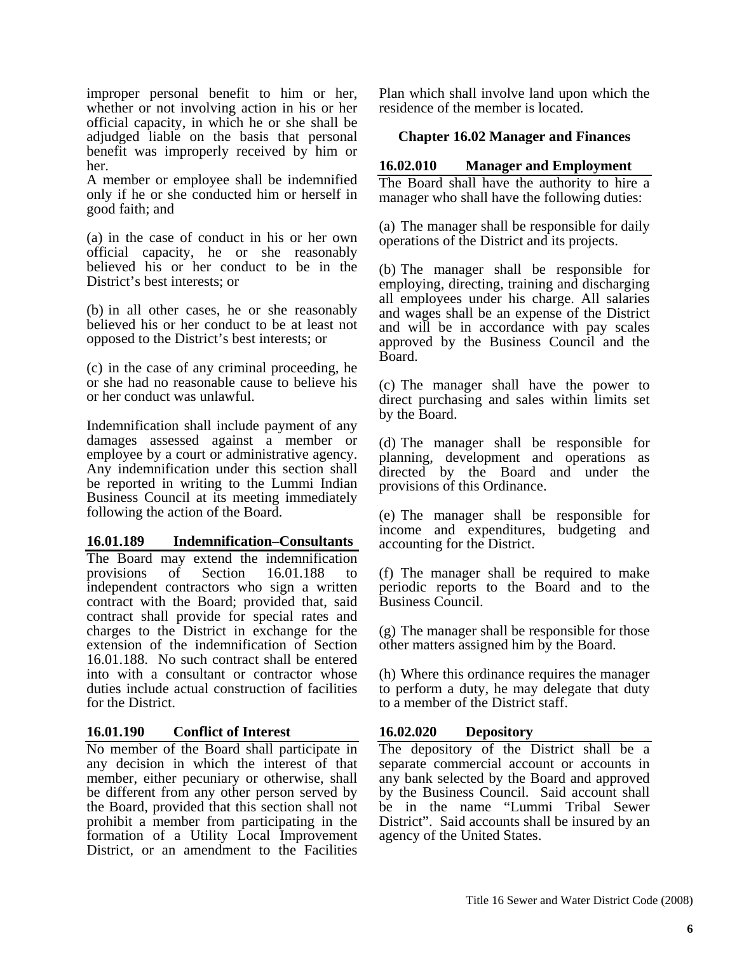improper personal benefit to him or her, whether or not involving action in his or her official capacity, in which he or she shall be adjudged liable on the basis that personal benefit was improperly received by him or her.

A member or employee shall be indemnified only if he or she conducted him or herself in good faith; and

(a) in the case of conduct in his or her own official capacity, he or she reasonably believed his or her conduct to be in the District's best interests; or

(b) in all other cases, he or she reasonably believed his or her conduct to be at least not opposed to the District's best interests; or

(c) in the case of any criminal proceeding, he or she had no reasonable cause to believe his or her conduct was unlawful.

Indemnification shall include payment of any damages assessed against a member or employee by a court or administrative agency. Any indemnification under this section shall be reported in writing to the Lummi Indian Business Council at its meeting immediately following the action of the Board.

#### **16.01.189 Indemnification–Consultants**

The Board may extend the indemnification provisions of Section 16.01.188 to independent contractors who sign a written contract with the Board; provided that, said contract shall provide for special rates and charges to the District in exchange for the extension of the indemnification of Section 16.01.188. No such contract shall be entered into with a consultant or contractor whose duties include actual construction of facilities for the District.

## **16.01.190 Conflict of Interest**

No member of the Board shall participate in any decision in which the interest of that member, either pecuniary or otherwise, shall be different from any other person served by the Board, provided that this section shall not prohibit a member from participating in the formation of a Utility Local Improvement District, or an amendment to the Facilities

Plan which shall involve land upon which the residence of the member is located.

#### **Chapter 16.02 Manager and Finances**

## **16.02.010 Manager and Employment**

The Board shall have the authority to hire a manager who shall have the following duties:

(a) The manager shall be responsible for daily operations of the District and its projects.

(b) The manager shall be responsible for employing, directing, training and discharging all employees under his charge. All salaries and wages shall be an expense of the District and will be in accordance with pay scales approved by the Business Council and the Board.

(c) The manager shall have the power to direct purchasing and sales within limits set by the Board.

(d) The manager shall be responsible for planning, development and operations as directed by the Board and under the provisions of this Ordinance.

(e) The manager shall be responsible for income and expenditures, budgeting and accounting for the District.

(f) The manager shall be required to make periodic reports to the Board and to the Business Council.

(g) The manager shall be responsible for those other matters assigned him by the Board.

(h) Where this ordinance requires the manager to perform a duty, he may delegate that duty to a member of the District staff.

#### **16.02.020 Depository**

The depository of the District shall be a separate commercial account or accounts in any bank selected by the Board and approved by the Business Council. Said account shall be in the name "Lummi Tribal Sewer District". Said accounts shall be insured by an agency of the United States.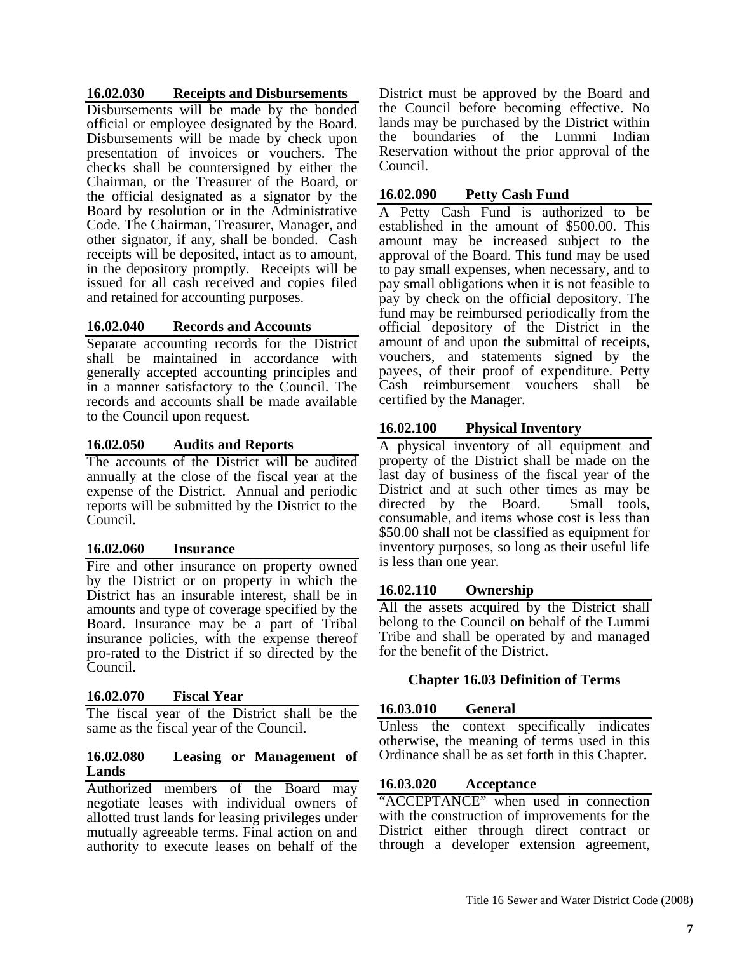#### **16.02.030 Receipts and Disbursements**

Disbursements will be made by the bonded official or employee designated by the Board. Disbursements will be made by check upon presentation of invoices or vouchers. The checks shall be countersigned by either the Chairman, or the Treasurer of the Board, or the official designated as a signator by the Board by resolution or in the Administrative Code. The Chairman, Treasurer, Manager, and other signator, if any, shall be bonded. Cash receipts will be deposited, intact as to amount, in the depository promptly. Receipts will be issued for all cash received and copies filed and retained for accounting purposes.

## **16.02.040 Records and Accounts**

Separate accounting records for the District shall be maintained in accordance with generally accepted accounting principles and in a manner satisfactory to the Council. The records and accounts shall be made available to the Council upon request.

#### **16.02.050 Audits and Reports**

The accounts of the District will be audited annually at the close of the fiscal year at the expense of the District. Annual and periodic reports will be submitted by the District to the Council.

#### **16.02.060 Insurance**

Fire and other insurance on property owned by the District or on property in which the District has an insurable interest, shall be in amounts and type of coverage specified by the Board. Insurance may be a part of Tribal insurance policies, with the expense thereof pro-rated to the District if so directed by the Council.

## **16.02.070 Fiscal Year**

The fiscal year of the District shall be the same as the fiscal year of the Council.

#### **16.02.080 Leasing or Management of Lands**

Authorized members of the Board may negotiate leases with individual owners of allotted trust lands for leasing privileges under mutually agreeable terms. Final action on and authority to execute leases on behalf of the

District must be approved by the Board and the Council before becoming effective. No lands may be purchased by the District within the boundaries of the Lummi Indian Reservation without the prior approval of the Council.

#### **16.02.090 Petty Cash Fund**

A Petty Cash Fund is authorized to be established in the amount of \$500.00. This amount may be increased subject to the approval of the Board. This fund may be used to pay small expenses, when necessary, and to pay small obligations when it is not feasible to pay by check on the official depository. The fund may be reimbursed periodically from the official depository of the District in the amount of and upon the submittal of receipts, vouchers, and statements signed by the payees, of their proof of expenditure. Petty Cash reimbursement vouchers shall be certified by the Manager.

#### **16.02.100 Physical Inventory**

A physical inventory of all equipment and property of the District shall be made on the last day of business of the fiscal year of the District and at such other times as may be directed by the Board. Small tools, consumable, and items whose cost is less than \$50.00 shall not be classified as equipment for inventory purposes, so long as their useful life is less than one year.

## **16.02.110 Ownership**

All the assets acquired by the District shall belong to the Council on behalf of the Lummi Tribe and shall be operated by and managed for the benefit of the District.

#### **Chapter 16.03 Definition of Terms**

#### **16.03.010 General**

Unless the context specifically indicates otherwise, the meaning of terms used in this Ordinance shall be as set forth in this Chapter.

#### **16.03.020 Acceptance**

"ACCEPTANCE" when used in connection with the construction of improvements for the District either through direct contract or through a developer extension agreement,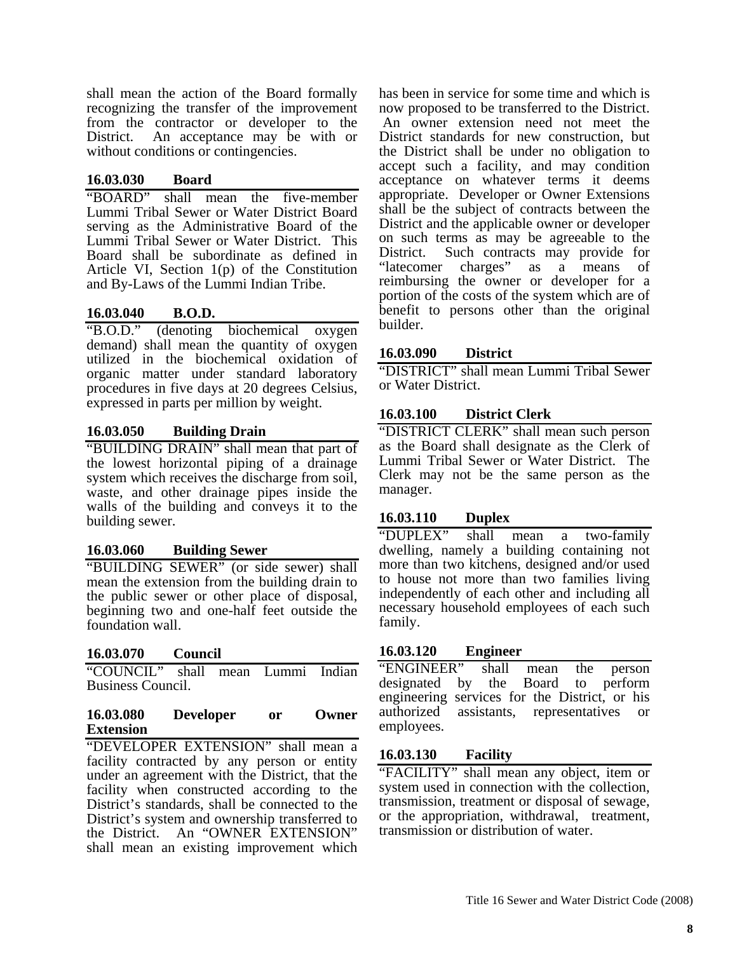shall mean the action of the Board formally recognizing the transfer of the improvement from the contractor or developer to the District. An acceptance may be with or without conditions or contingencies.

## **16.03.030 Board**

"BOARD" shall mean the five-member Lummi Tribal Sewer or Water District Board serving as the Administrative Board of the Lummi Tribal Sewer or Water District. This Board shall be subordinate as defined in Article VI, Section 1(p) of the Constitution and By-Laws of the Lummi Indian Tribe.

# **16.03.040 B.O.D.**

"B.O.D." (denoting biochemical oxygen demand) shall mean the quantity of oxygen utilized in the biochemical oxidation of organic matter under standard laboratory procedures in five days at 20 degrees Celsius, expressed in parts per million by weight.

# **16.03.050 Building Drain**

"BUILDING DRAIN" shall mean that part of the lowest horizontal piping of a drainage system which receives the discharge from soil, waste, and other drainage pipes inside the walls of the building and conveys it to the building sewer.

## **16.03.060 Building Sewer**

"BUILDING SEWER" (or side sewer) shall mean the extension from the building drain to the public sewer or other place of disposal, beginning two and one-half feet outside the foundation wall.

## **16.03.070 Council**

"COUNCIL" shall mean Lummi Indian Business Council.

#### **16.03.080 Developer or Owner Extension**

"DEVELOPER EXTENSION" shall mean a facility contracted by any person or entity under an agreement with the District, that the facility when constructed according to the District's standards, shall be connected to the District's system and ownership transferred to the District. An "OWNER EXTENSION" shall mean an existing improvement which has been in service for some time and which is now proposed to be transferred to the District. An owner extension need not meet the District standards for new construction, but the District shall be under no obligation to accept such a facility, and may condition acceptance on whatever terms it deems appropriate. Developer or Owner Extensions shall be the subject of contracts between the District and the applicable owner or developer on such terms as may be agreeable to the District. Such contracts may provide for "latecomer charges" as a means of reimbursing the owner or developer for a portion of the costs of the system which are of benefit to persons other than the original builder.

## **16.03.090 District**

"DISTRICT" shall mean Lummi Tribal Sewer or Water District.

# **16.03.100 District Clerk**

"DISTRICT CLERK" shall mean such person as the Board shall designate as the Clerk of Lummi Tribal Sewer or Water District. The Clerk may not be the same person as the manager.

## **16.03.110 Duplex**

"DUPLEX" shall mean a two-family dwelling, namely a building containing not more than two kitchens, designed and/or used to house not more than two families living independently of each other and including all necessary household employees of each such family.

# **16.03.120 Engineer**

"ENGINEER" shall mean the person designated by the Board to perform engineering services for the District, or his authorized assistants, representatives or employees.

# **16.03.130 Facility**

"FACILITY" shall mean any object, item or system used in connection with the collection, transmission, treatment or disposal of sewage, or the appropriation, withdrawal, treatment, transmission or distribution of water.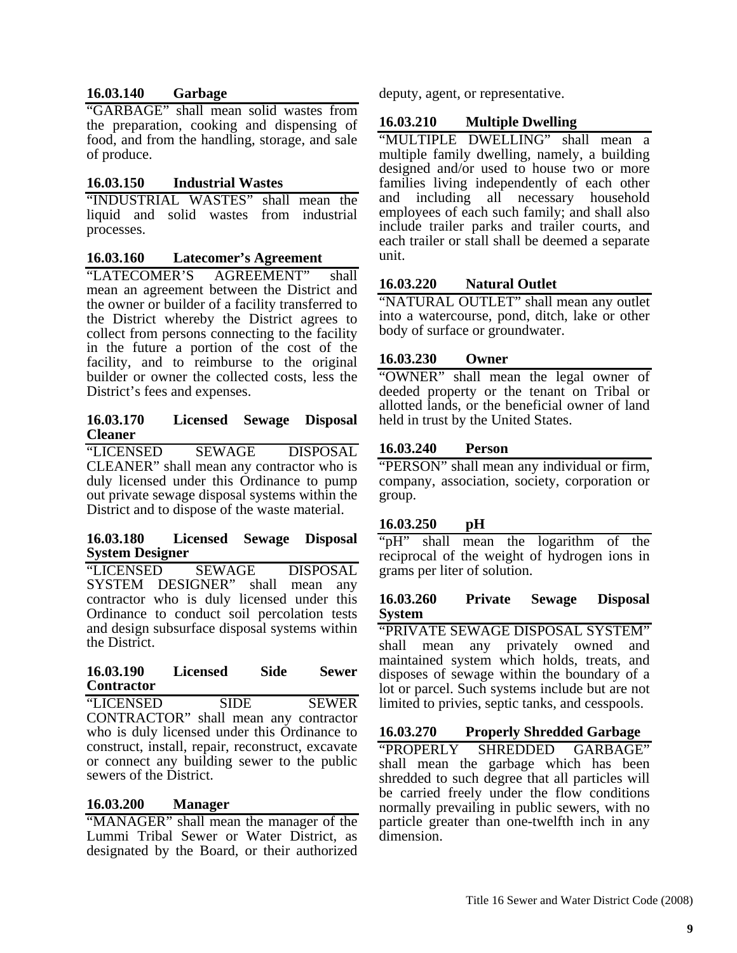## **16.03.140 Garbage**

"GARBAGE" shall mean solid wastes from the preparation, cooking and dispensing of food, and from the handling, storage, and sale of produce.

## **16.03.150 Industrial Wastes**

"INDUSTRIAL WASTES" shall mean the liquid and solid wastes from industrial processes.

## **16.03.160 Latecomer's Agreement**

"LATECOMER'S AGREEMENT" shall mean an agreement between the District and the owner or builder of a facility transferred to the District whereby the District agrees to collect from persons connecting to the facility in the future a portion of the cost of the facility, and to reimburse to the original builder or owner the collected costs, less the District's fees and expenses.

#### **16.03.170 Licensed Sewage Disposal Cleaner**

"LICENSED SEWAGE DISPOSAL CLEANER" shall mean any contractor who is duly licensed under this Ordinance to pump out private sewage disposal systems within the District and to dispose of the waste material.

#### **16.03.180 Licensed Sewage Disposal System Designer**

"LICENSED SEWAGE DISPOSAL<br>SYSTEM DESIGNER" shall mean any SYSTEM DESIGNER" contractor who is duly licensed under this Ordinance to conduct soil percolation tests and design subsurface disposal systems within the District.

#### **16.03.190 Licensed Side Sewer Contractor**

"LICENSED SIDE SEWER CONTRACTOR" shall mean any contractor who is duly licensed under this Ordinance to construct, install, repair, reconstruct, excavate or connect any building sewer to the public sewers of the District.

## **16.03.200 Manager**

"MANAGER" shall mean the manager of the Lummi Tribal Sewer or Water District, as designated by the Board, or their authorized

deputy, agent, or representative.

## **16.03.210 Multiple Dwelling**

"MULTIPLE DWELLING" shall mean a multiple family dwelling, namely, a building designed and/or used to house two or more families living independently of each other and including all necessary household employees of each such family; and shall also include trailer parks and trailer courts, and each trailer or stall shall be deemed a separate unit.

## **16.03.220 Natural Outlet**

"NATURAL OUTLET" shall mean any outlet into a watercourse, pond, ditch, lake or other body of surface or groundwater.

#### **16.03.230 Owner**

"OWNER" shall mean the legal owner of deeded property or the tenant on Tribal or allotted lands, or the beneficial owner of land held in trust by the United States.

#### **16.03.240 Person**

"PERSON" shall mean any individual or firm, company, association, society, corporation or group.

#### **16.03.250 pH**

"pH" shall mean the logarithm of the reciprocal of the weight of hydrogen ions in grams per liter of solution.

#### **16.03.260 Private Sewage Disposal System**

"PRIVATE SEWAGE DISPOSAL SYSTEM" shall mean any privately owned and maintained system which holds, treats, and disposes of sewage within the boundary of a lot or parcel. Such systems include but are not limited to privies, septic tanks, and cesspools.

#### **16.03.270 Properly Shredded Garbage**

"PROPERLY SHREDDED GARBAGE" shall mean the garbage which has been shredded to such degree that all particles will be carried freely under the flow conditions normally prevailing in public sewers, with no particle greater than one-twelfth inch in any dimension.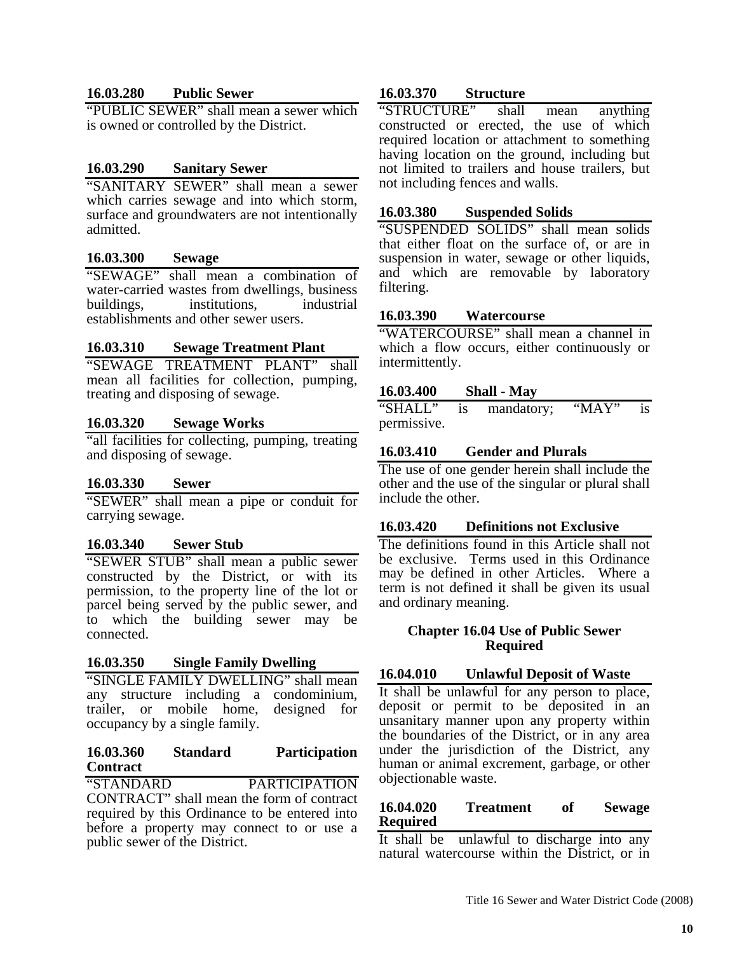## **16.03.280 Public Sewer**

"PUBLIC SEWER" shall mean a sewer which is owned or controlled by the District.

## **16.03.290 Sanitary Sewer**

"SANITARY SEWER" shall mean a sewer which carries sewage and into which storm, surface and groundwaters are not intentionally admitted.

#### **16.03.300 Sewage**

"SEWAGE" shall mean a combination of water-carried wastes from dwellings, business buildings, institutions, industrial establishments and other sewer users.

#### **16.03.310 Sewage Treatment Plant**

"SEWAGE TREATMENT PLANT" shall mean all facilities for collection, pumping, treating and disposing of sewage.

## **16.03.320 Sewage Works**

"all facilities for collecting, pumping, treating and disposing of sewage.

#### **16.03.330 Sewer**

"SEWER" shall mean a pipe or conduit for carrying sewage.

## **16.03.340 Sewer Stub**

"SEWER STUB" shall mean a public sewer constructed by the District, or with its permission, to the property line of the lot or parcel being served by the public sewer, and to which the building sewer may be connected.

#### **16.03.350 Single Family Dwelling**

"SINGLE FAMILY DWELLING" shall mean any structure including a condominium, trailer, or mobile home, designed for occupancy by a single family.

#### **16.03.360 Standard Participation Contract**

"STANDARD PARTICIPATION CONTRACT" shall mean the form of contract required by this Ordinance to be entered into before a property may connect to or use a public sewer of the District.

## **16.03.370 Structure**

"STRUCTURE" shall mean anything constructed or erected, the use of which required location or attachment to something having location on the ground, including but not limited to trailers and house trailers, but not including fences and walls.

#### **16.03.380 Suspended Solids**

"SUSPENDED SOLIDS" shall mean solids that either float on the surface of, or are in suspension in water, sewage or other liquids, and which are removable by laboratory filtering.

#### **16.03.390 Watercourse**

"WATERCOURSE" shall mean a channel in which a flow occurs, either continuously or intermittently.

#### **16.03.400 Shall - May**

"SHALL" is mandatory; "MAY" is permissive.

# **16.03.410 Gender and Plurals**

The use of one gender herein shall include the other and the use of the singular or plural shall include the other.

## **16.03.420 Definitions not Exclusive**

The definitions found in this Article shall not be exclusive. Terms used in this Ordinance may be defined in other Articles. Where a term is not defined it shall be given its usual and ordinary meaning.

#### **Chapter 16.04 Use of Public Sewer Required**

## **16.04.010 Unlawful Deposit of Waste**

It shall be unlawful for any person to place, deposit or permit to be deposited in an unsanitary manner upon any property within the boundaries of the District, or in any area under the jurisdiction of the District, any human or animal excrement, garbage, or other objectionable waste.

## **16.04.020 Treatment of Sewage Required**

It shall be unlawful to discharge into any natural watercourse within the District, or in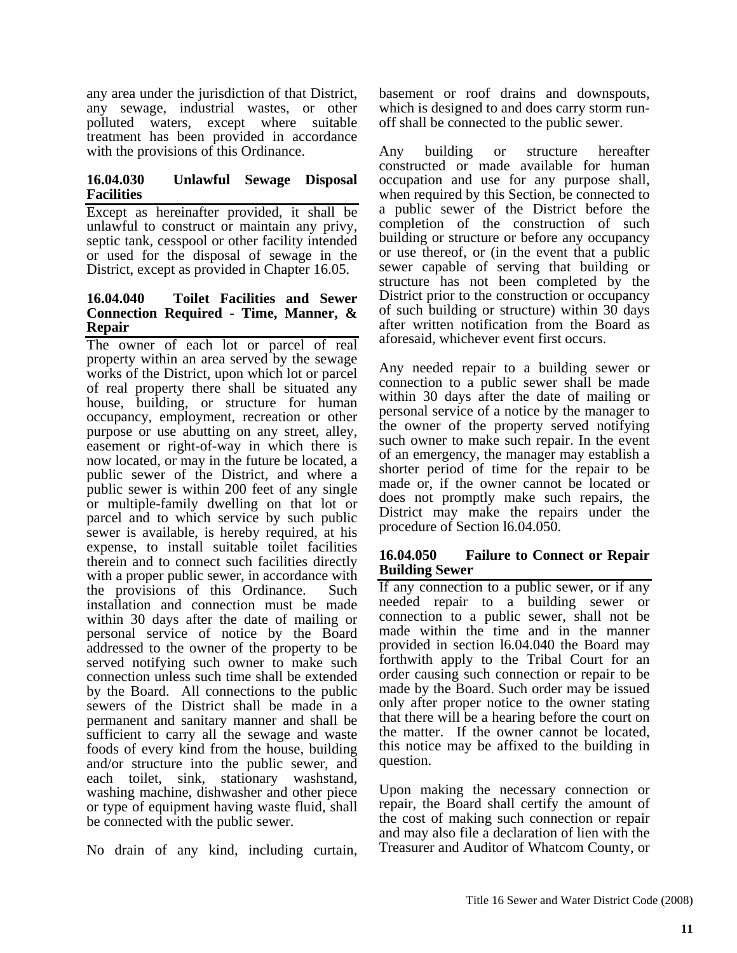any area under the jurisdiction of that District, any sewage, industrial wastes, or other polluted waters, except where suitable treatment has been provided in accordance with the provisions of this Ordinance.

#### **16.04.030 Unlawful Sewage Disposal Facilities**

Except as hereinafter provided, it shall be unlawful to construct or maintain any privy, septic tank, cesspool or other facility intended or used for the disposal of sewage in the District, except as provided in Chapter 16.05.

## **16.04.040 Toilet Facilities and Sewer Connection Required - Time, Manner, & Repair**

The owner of each lot or parcel of real property within an area served by the sewage works of the District, upon which lot or parcel of real property there shall be situated any house, building, or structure for human occupancy, employment, recreation or other purpose or use abutting on any street, alley, easement or right-of-way in which there is now located, or may in the future be located, a public sewer of the District, and where a public sewer is within 200 feet of any single or multiple-family dwelling on that lot or parcel and to which service by such public sewer is available, is hereby required, at his expense, to install suitable toilet facilities therein and to connect such facilities directly with a proper public sewer, in accordance with the provisions of this Ordinance. Such installation and connection must be made within 30 days after the date of mailing or personal service of notice by the Board addressed to the owner of the property to be served notifying such owner to make such connection unless such time shall be extended by the Board. All connections to the public sewers of the District shall be made in a permanent and sanitary manner and shall be sufficient to carry all the sewage and waste foods of every kind from the house, building and/or structure into the public sewer, and each toilet, sink, stationary washstand, washing machine, dishwasher and other piece or type of equipment having waste fluid, shall be connected with the public sewer.

No drain of any kind, including curtain,

basement or roof drains and downspouts, which is designed to and does carry storm runoff shall be connected to the public sewer.

Any building or structure hereafter constructed or made available for human occupation and use for any purpose shall, when required by this Section, be connected to a public sewer of the District before the completion of the construction of such building or structure or before any occupancy or use thereof, or (in the event that a public sewer capable of serving that building or structure has not been completed by the District prior to the construction or occupancy of such building or structure) within 30 days after written notification from the Board as aforesaid, whichever event first occurs.

Any needed repair to a building sewer or connection to a public sewer shall be made within 30 days after the date of mailing or personal service of a notice by the manager to the owner of the property served notifying such owner to make such repair. In the event of an emergency, the manager may establish a shorter period of time for the repair to be made or, if the owner cannot be located or does not promptly make such repairs, the District may make the repairs under the procedure of Section l6.04.050.

#### **16.04.050 Failure to Connect or Repair Building Sewer**

If any connection to a public sewer, or if any needed repair to a building sewer or connection to a public sewer, shall not be made within the time and in the manner provided in section l6.04.040 the Board may forthwith apply to the Tribal Court for an order causing such connection or repair to be made by the Board. Such order may be issued only after proper notice to the owner stating that there will be a hearing before the court on the matter. If the owner cannot be located, this notice may be affixed to the building in question.

Upon making the necessary connection or repair, the Board shall certify the amount of the cost of making such connection or repair and may also file a declaration of lien with the Treasurer and Auditor of Whatcom County, or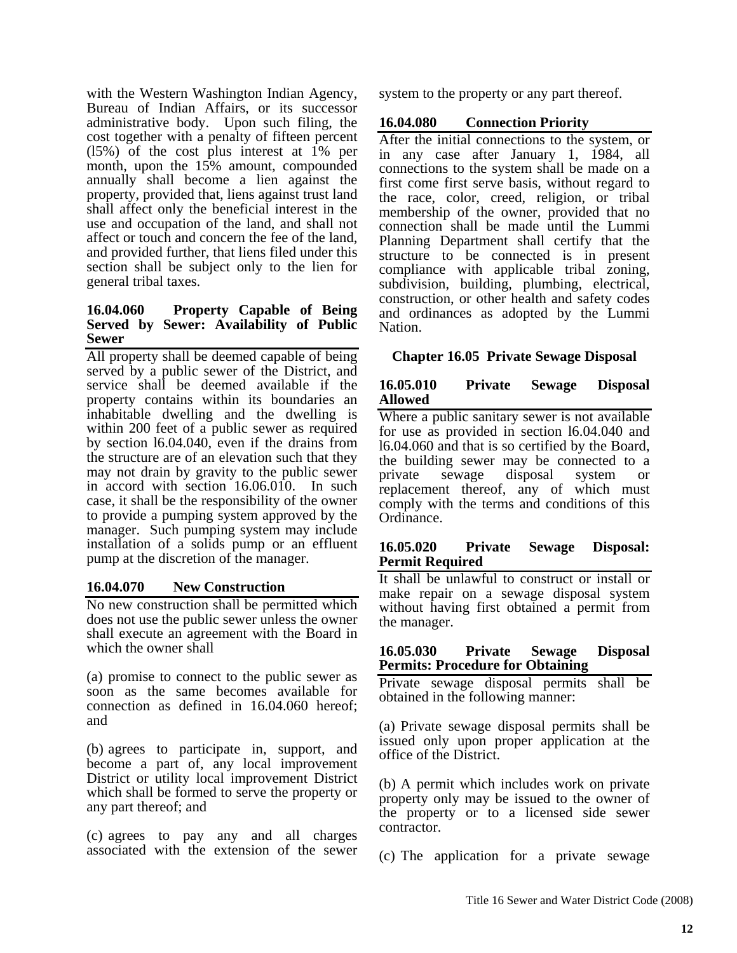with the Western Washington Indian Agency, Bureau of Indian Affairs, or its successor administrative body. Upon such filing, the cost together with a penalty of fifteen percent (l5%) of the cost plus interest at 1% per month, upon the 15% amount, compounded annually shall become a lien against the property, provided that, liens against trust land shall affect only the beneficial interest in the use and occupation of the land, and shall not affect or touch and concern the fee of the land, and provided further, that liens filed under this section shall be subject only to the lien for general tribal taxes.

#### **16.04.060 Property Capable of Being Served by Sewer: Availability of Public Sewer**

All property shall be deemed capable of being served by a public sewer of the District, and service shall be deemed available if the property contains within its boundaries an inhabitable dwelling and the dwelling is within 200 feet of a public sewer as required by section l6.04.040, even if the drains from the structure are of an elevation such that they may not drain by gravity to the public sewer in accord with section 16.06.010. In such case, it shall be the responsibility of the owner to provide a pumping system approved by the manager. Such pumping system may include installation of a solids pump or an effluent pump at the discretion of the manager.

## **16.04.070 New Construction**

No new construction shall be permitted which does not use the public sewer unless the owner shall execute an agreement with the Board in which the owner shall

(a) promise to connect to the public sewer as soon as the same becomes available for connection as defined in 16.04.060 hereof; and

(b) agrees to participate in, support, and become a part of, any local improvement District or utility local improvement District which shall be formed to serve the property or any part thereof; and

(c) agrees to pay any and all charges associated with the extension of the sewer system to the property or any part thereof.

#### **16.04.080 Connection Priority**

After the initial connections to the system, or in any case after January 1, 1984, all connections to the system shall be made on a first come first serve basis, without regard to the race, color, creed, religion, or tribal membership of the owner, provided that no connection shall be made until the Lummi Planning Department shall certify that the structure to be connected is in present compliance with applicable tribal zoning, subdivision, building, plumbing, electrical, construction, or other health and safety codes and ordinances as adopted by the Lummi Nation.

#### **Chapter 16.05 Private Sewage Disposal**

#### **16.05.010 Private Sewage Disposal Allowed**

Where a public sanitary sewer is not available for use as provided in section l6.04.040 and l6.04.060 and that is so certified by the Board, the building sewer may be connected to a private sewage disposal system or replacement thereof, any of which must comply with the terms and conditions of this Ordinance.

#### **16.05.020 Private Sewage Disposal: Permit Required**

It shall be unlawful to construct or install or make repair on a sewage disposal system without having first obtained a permit from the manager.

#### **16.05.030 Private Sewage Disposal Permits: Procedure for Obtaining**

Private sewage disposal permits shall be obtained in the following manner:

(a) Private sewage disposal permits shall be issued only upon proper application at the office of the District.

(b) A permit which includes work on private property only may be issued to the owner of the property or to a licensed side sewer contractor.

(c) The application for a private sewage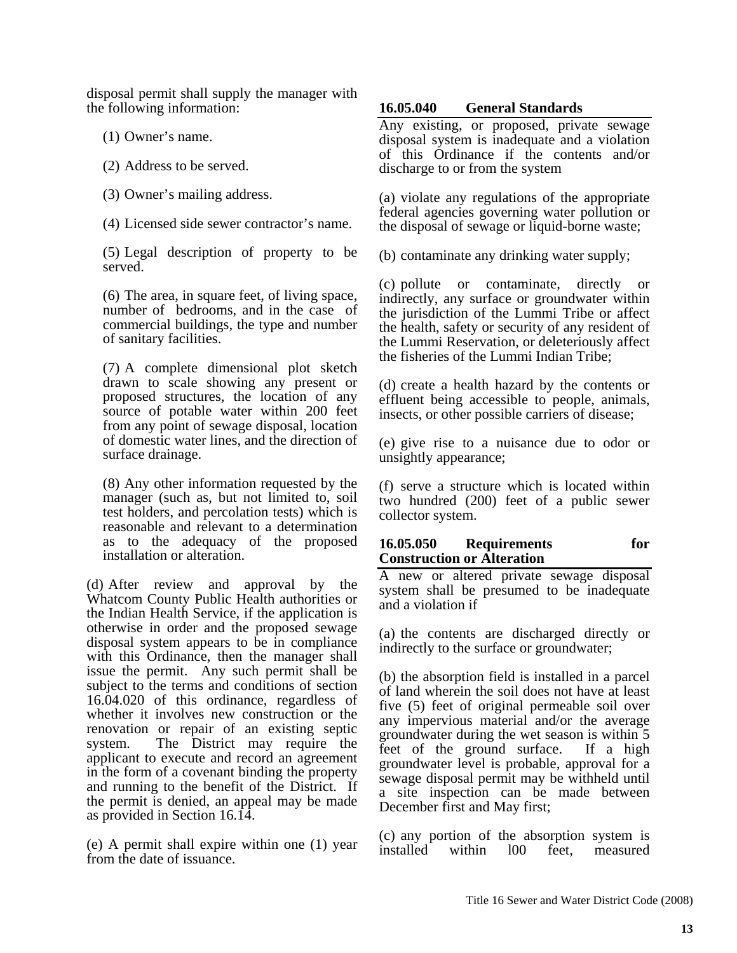disposal permit shall supply the manager with the following information:

- (1) Owner's name.
- (2) Address to be served.
- (3) Owner's mailing address.
- (4) Licensed side sewer contractor's name.

(5) Legal description of property to be served.

(6) The area, in square feet, of living space, number of bedrooms, and in the case of commercial buildings, the type and number of sanitary facilities.

(7) A complete dimensional plot sketch drawn to scale showing any present or proposed structures, the location of any source of potable water within 200 feet from any point of sewage disposal, location of domestic water lines, and the direction of surface drainage.

(8) Any other information requested by the manager (such as, but not limited to, soil test holders, and percolation tests) which is reasonable and relevant to a determination as to the adequacy of the proposed installation or alteration.

(d) After review and approval by the Whatcom County Public Health authorities or the Indian Health Service, if the application is otherwise in order and the proposed sewage disposal system appears to be in compliance with this Ordinance, then the manager shall issue the permit. Any such permit shall be subject to the terms and conditions of section 16.04.020 of this ordinance, regardless of whether it involves new construction or the renovation or repair of an existing septic system. The District may require the applicant to execute and record an agreement in the form of a covenant binding the property and running to the benefit of the District. If the permit is denied, an appeal may be made as provided in Section 16.14.

(e) A permit shall expire within one (1) year from the date of issuance.

#### **16.05.040 General Standards**

Any existing, or proposed, private sewage disposal system is inadequate and a violation of this Ordinance if the contents and/or discharge to or from the system

(a) violate any regulations of the appropriate federal agencies governing water pollution or the disposal of sewage or liquid-borne waste;

(b) contaminate any drinking water supply;

(c) pollute or contaminate, directly or indirectly, any surface or groundwater within the jurisdiction of the Lummi Tribe or affect the health, safety or security of any resident of the Lummi Reservation, or deleteriously affect the fisheries of the Lummi Indian Tribe;

(d) create a health hazard by the contents or effluent being accessible to people, animals, insects, or other possible carriers of disease;

(e) give rise to a nuisance due to odor or unsightly appearance;

(f) serve a structure which is located within two hundred (200) feet of a public sewer collector system.

## **16.05.050 Requirements for Construction or Alteration**

A new or altered private sewage disposal system shall be presumed to be inadequate and a violation if

(a) the contents are discharged directly or indirectly to the surface or groundwater;

(b) the absorption field is installed in a parcel of land wherein the soil does not have at least five (5) feet of original permeable soil over any impervious material and/or the average groundwater during the wet season is within 5 feet of the ground surface. If a high groundwater level is probable, approval for a sewage disposal permit may be withheld until a site inspection can be made between December first and May first;

(c) any portion of the absorption system is installed within l00 feet, measured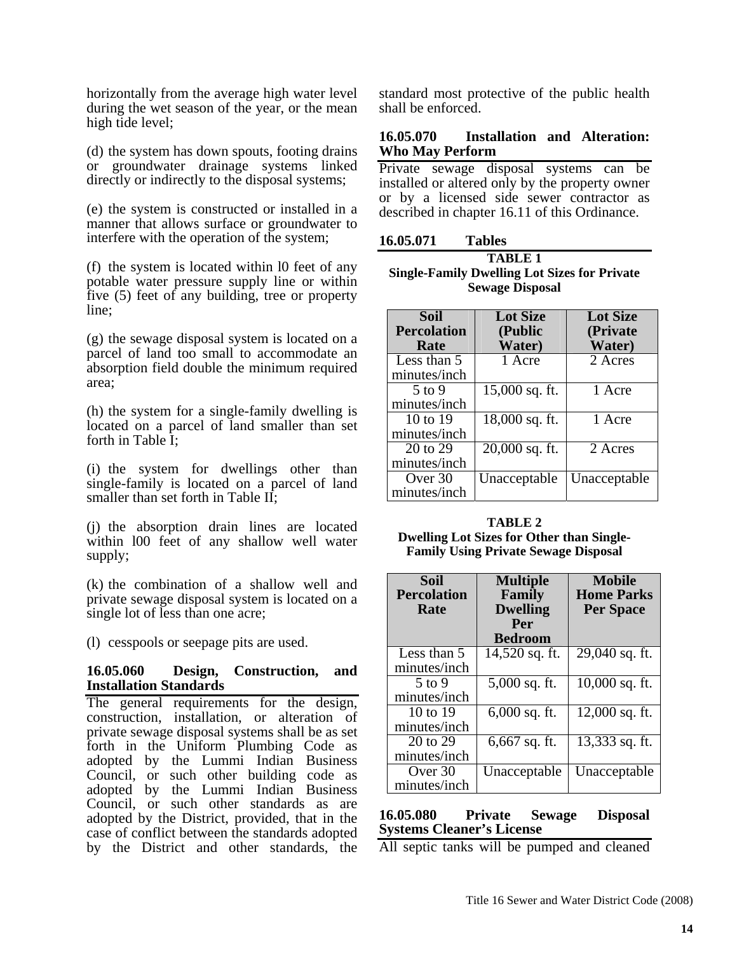horizontally from the average high water level during the wet season of the year, or the mean high tide level;

(d) the system has down spouts, footing drains or groundwater drainage systems linked directly or indirectly to the disposal systems;

(e) the system is constructed or installed in a manner that allows surface or groundwater to interfere with the operation of the system;

(f) the system is located within l0 feet of any potable water pressure supply line or within five (5) feet of any building, tree or property line;

(g) the sewage disposal system is located on a parcel of land too small to accommodate an absorption field double the minimum required area;

(h) the system for a single-family dwelling is located on a parcel of land smaller than set forth in Table I;

(i) the system for dwellings other than single-family is located on a parcel of land smaller than set forth in Table II:

(j) the absorption drain lines are located within l00 feet of any shallow well water supply;

(k) the combination of a shallow well and private sewage disposal system is located on a single lot of less than one acre;

(l) cesspools or seepage pits are used.

#### **16.05.060 Design, Construction, and Installation Standards**

The general requirements for the design, construction, installation, or alteration of private sewage disposal systems shall be as set forth in the Uniform Plumbing Code as adopted by the Lummi Indian Business Council, or such other building code as adopted by the Lummi Indian Business Council, or such other standards as are adopted by the District, provided, that in the case of conflict between the standards adopted by the District and other standards, the

standard most protective of the public health shall be enforced.

#### **16.05.070 Installation and Alteration: Who May Perform**

Private sewage disposal systems can be installed or altered only by the property owner or by a licensed side sewer contractor as described in chapter 16.11 of this Ordinance.

| 16.05.071 | <b>Tables</b> |
|-----------|---------------|
|-----------|---------------|

| <b>TABLE 1</b>                                      |
|-----------------------------------------------------|
| <b>Single-Family Dwelling Lot Sizes for Private</b> |
| <b>Sewage Disposal</b>                              |

| <b>Soil</b>        | <b>Lot Size</b>             | <b>Lot Size</b> |
|--------------------|-----------------------------|-----------------|
| <b>Percolation</b> | (Public                     | (Private)       |
| Rate               | Water)                      | Water)          |
| Less than 5        | 1 Acre                      | 2 Acres         |
| minutes/inch       |                             |                 |
| 5 to 9             | 15,000 sq. ft.              | 1 Acre          |
| minutes/inch       |                             |                 |
| 10 to 19           | $\overline{18,000}$ sq. ft. | 1 Acre          |
| minutes/inch       |                             |                 |
| 20 to 29           | $20,000$ sq. ft.            | 2 Acres         |
| minutes/inch       |                             |                 |
| Over 30            | Unacceptable                | Unacceptable    |
| minutes/inch       |                             |                 |

**TABLE 2 Dwelling Lot Sizes for Other than Single-Family Using Private Sewage Disposal** 

| <b>Soil</b><br><b>Percolation</b> | <b>Multiple</b><br>Family | <b>Mobile</b><br><b>Home Parks</b> |
|-----------------------------------|---------------------------|------------------------------------|
| Rate                              | <b>Dwelling</b>           | <b>Per Space</b>                   |
|                                   | Per                       |                                    |
|                                   | <b>Bedroom</b>            |                                    |
| Less than 5                       | 14,520 sq. ft.            | 29,040 sq. ft.                     |
| minutes/inch                      |                           |                                    |
| $5$ to 9                          | 5,000 sq. ft.             | 10,000 sq. ft.                     |
| minutes/inch                      |                           |                                    |
| 10 to 19                          | $6,000$ sq. ft.           | 12,000 sq. ft.                     |
| minutes/inch                      |                           |                                    |
| 20 to 29                          | 6,667 sq. ft.             | 13,333 sq. ft.                     |
| minutes/inch                      |                           |                                    |
| Over 30                           | Unacceptable              | Unacceptable                       |
| minutes/inch                      |                           |                                    |

## **16.05.080 Private Sewage Disposal Systems Cleaner's License**

All septic tanks will be pumped and cleaned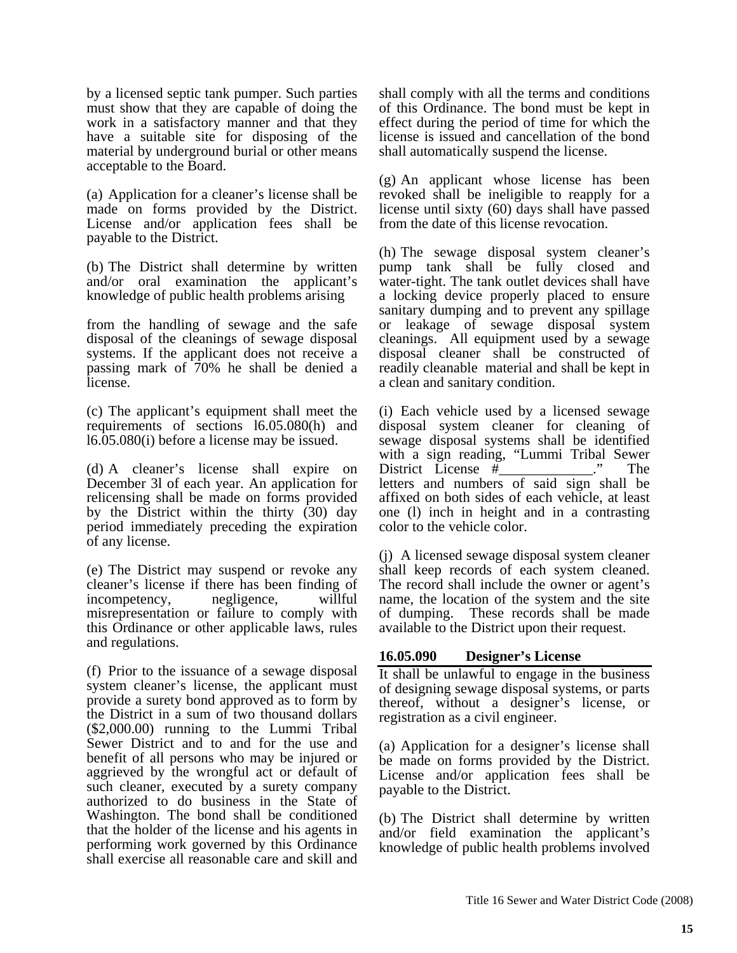by a licensed septic tank pumper. Such parties must show that they are capable of doing the work in a satisfactory manner and that they have a suitable site for disposing of the material by underground burial or other means acceptable to the Board.

(a) Application for a cleaner's license shall be made on forms provided by the District. License and/or application fees shall be payable to the District.

(b) The District shall determine by written and/or oral examination the applicant's knowledge of public health problems arising

from the handling of sewage and the safe disposal of the cleanings of sewage disposal systems. If the applicant does not receive a passing mark of 70% he shall be denied a license.

(c) The applicant's equipment shall meet the requirements of sections l6.05.080(h) and l6.05.080(i) before a license may be issued.

(d) A cleaner's license shall expire on December 3l of each year. An application for relicensing shall be made on forms provided by the District within the thirty (30) day period immediately preceding the expiration of any license.

(e) The District may suspend or revoke any cleaner's license if there has been finding of incompetency, negligence, willful misrepresentation or failure to comply with this Ordinance or other applicable laws, rules and regulations.

(f) Prior to the issuance of a sewage disposal system cleaner's license, the applicant must provide a surety bond approved as to form by the District in a sum of two thousand dollars (\$2,000.00) running to the Lummi Tribal Sewer District and to and for the use and benefit of all persons who may be injured or aggrieved by the wrongful act or default of such cleaner, executed by a surety company authorized to do business in the State of Washington. The bond shall be conditioned that the holder of the license and his agents in performing work governed by this Ordinance shall exercise all reasonable care and skill and

shall comply with all the terms and conditions of this Ordinance. The bond must be kept in effect during the period of time for which the license is issued and cancellation of the bond shall automatically suspend the license.

(g) An applicant whose license has been revoked shall be ineligible to reapply for a license until sixty (60) days shall have passed from the date of this license revocation.

(h) The sewage disposal system cleaner's pump tank shall be fully closed and water-tight. The tank outlet devices shall have a locking device properly placed to ensure sanitary dumping and to prevent any spillage or leakage of sewage disposal system cleanings. All equipment used by a sewage disposal cleaner shall be constructed of readily cleanable material and shall be kept in a clean and sanitary condition.

(i) Each vehicle used by a licensed sewage disposal system cleaner for cleaning of sewage disposal systems shall be identified with a sign reading, "Lummi Tribal Sewer District License #\_\_\_\_\_\_\_\_\_\_\_\_." The letters and numbers of said sign shall be affixed on both sides of each vehicle, at least one (l) inch in height and in a contrasting color to the vehicle color.

(j) A licensed sewage disposal system cleaner shall keep records of each system cleaned. The record shall include the owner or agent's name, the location of the system and the site of dumping. These records shall be made available to the District upon their request.

## **16.05.090 Designer's License**

It shall be unlawful to engage in the business of designing sewage disposal systems, or parts thereof, without a designer's license, or registration as a civil engineer.

(a) Application for a designer's license shall be made on forms provided by the District. License and/or application fees shall be payable to the District.

(b) The District shall determine by written and/or field examination the applicant's knowledge of public health problems involved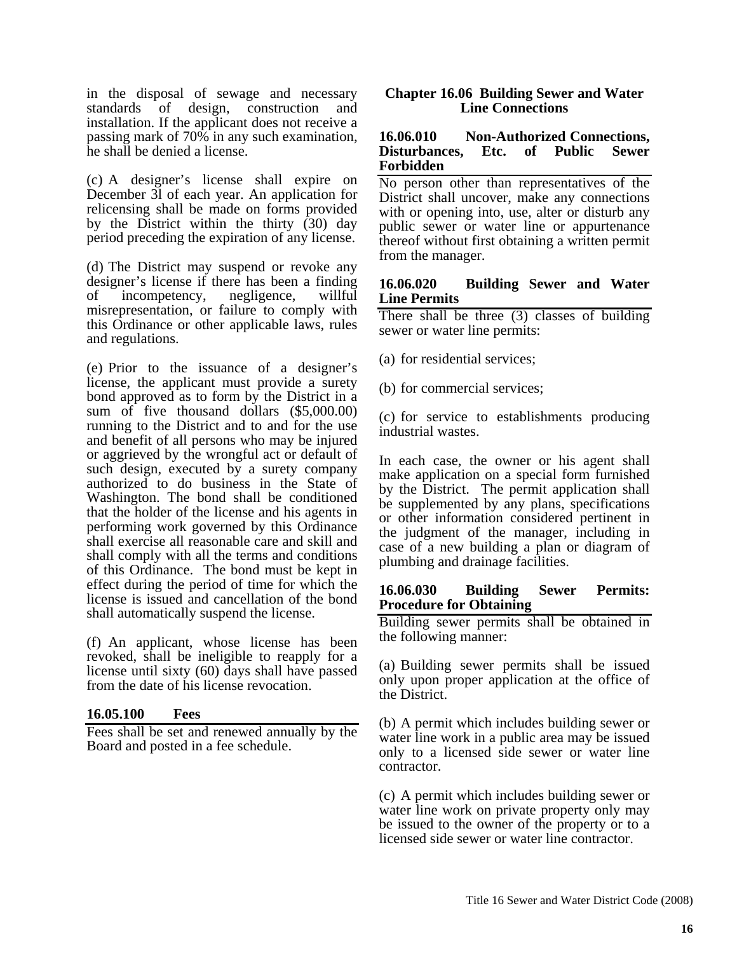in the disposal of sewage and necessary standards of design, construction and installation. If the applicant does not receive a passing mark of 70% in any such examination, he shall be denied a license.

(c) A designer's license shall expire on December 3l of each year. An application for relicensing shall be made on forms provided by the District within the thirty (30) day period preceding the expiration of any license.

(d) The District may suspend or revoke any designer's license if there has been a finding of incompetency, negligence, willful misrepresentation, or failure to comply with this Ordinance or other applicable laws, rules and regulations.

(e) Prior to the issuance of a designer's license, the applicant must provide a surety bond approved as to form by the District in a sum of five thousand dollars (\$5,000.00) running to the District and to and for the use and benefit of all persons who may be injured or aggrieved by the wrongful act or default of such design, executed by a surety company authorized to do business in the State of Washington. The bond shall be conditioned that the holder of the license and his agents in performing work governed by this Ordinance shall exercise all reasonable care and skill and shall comply with all the terms and conditions of this Ordinance. The bond must be kept in effect during the period of time for which the license is issued and cancellation of the bond shall automatically suspend the license.

(f) An applicant, whose license has been revoked, shall be ineligible to reapply for a license until sixty (60) days shall have passed from the date of his license revocation.

## **16.05.100 Fees**

Fees shall be set and renewed annually by the Board and posted in a fee schedule.

#### **Chapter 16.06 Building Sewer and Water Line Connections**

#### **16.06.010 Non-Authorized Connections, Disturbances, Etc. of Public Sewer Forbidden**

No person other than representatives of the District shall uncover, make any connections with or opening into, use, alter or disturb any public sewer or water line or appurtenance thereof without first obtaining a written permit from the manager.

#### **16.06.020 Building Sewer and Water Line Permits**

There shall be three (3) classes of building sewer or water line permits:

- (a) for residential services;
- (b) for commercial services;

(c) for service to establishments producing industrial wastes.

In each case, the owner or his agent shall make application on a special form furnished by the District. The permit application shall be supplemented by any plans, specifications or other information considered pertinent in the judgment of the manager, including in case of a new building a plan or diagram of plumbing and drainage facilities.

#### **16.06.030 Building Sewer Permits: Procedure for Obtaining**

Building sewer permits shall be obtained in the following manner:

(a) Building sewer permits shall be issued only upon proper application at the office of the District.

(b) A permit which includes building sewer or water line work in a public area may be issued only to a licensed side sewer or water line contractor.

(c) A permit which includes building sewer or water line work on private property only may be issued to the owner of the property or to a licensed side sewer or water line contractor.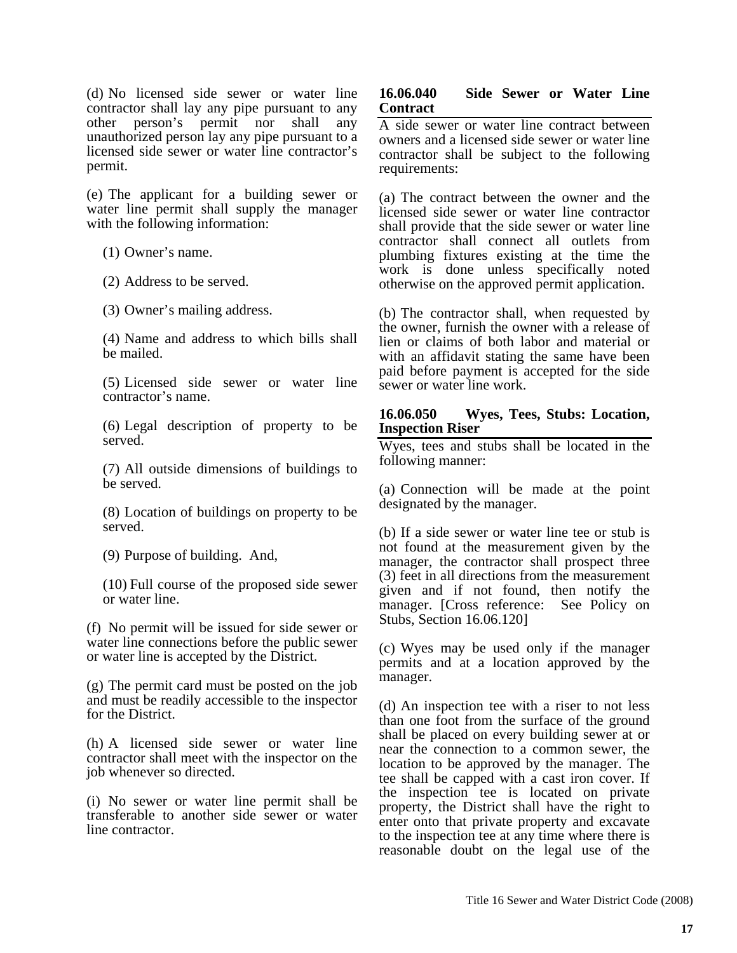(d) No licensed side sewer or water line contractor shall lay any pipe pursuant to any other person's permit nor shall any unauthorized person lay any pipe pursuant to a licensed side sewer or water line contractor's permit.

(e) The applicant for a building sewer or water line permit shall supply the manager with the following information:

(1) Owner's name.

(2) Address to be served.

(3) Owner's mailing address.

(4) Name and address to which bills shall be mailed.

(5) Licensed side sewer or water line contractor's name.

(6) Legal description of property to be served.

(7) All outside dimensions of buildings to be served.

(8) Location of buildings on property to be served.

(9) Purpose of building. And,

(10) Full course of the proposed side sewer or water line.

(f) No permit will be issued for side sewer or water line connections before the public sewer or water line is accepted by the District.

(g) The permit card must be posted on the job and must be readily accessible to the inspector for the District.

(h) A licensed side sewer or water line contractor shall meet with the inspector on the job whenever so directed.

(i) No sewer or water line permit shall be transferable to another side sewer or water line contractor.

#### **16.06.040 Side Sewer or Water Line Contract**

A side sewer or water line contract between owners and a licensed side sewer or water line contractor shall be subject to the following requirements:

(a) The contract between the owner and the licensed side sewer or water line contractor shall provide that the side sewer or water line contractor shall connect all outlets from plumbing fixtures existing at the time the work is done unless specifically noted otherwise on the approved permit application.

(b) The contractor shall, when requested by the owner, furnish the owner with a release of lien or claims of both labor and material or with an affidavit stating the same have been paid before payment is accepted for the side sewer or water line work.

#### **16.06.050 Wyes, Tees, Stubs: Location, Inspection Riser**

Wyes, tees and stubs shall be located in the following manner:

(a) Connection will be made at the point designated by the manager.

(b) If a side sewer or water line tee or stub is not found at the measurement given by the manager, the contractor shall prospect three (3) feet in all directions from the measurement given and if not found, then notify the manager. [Cross reference: See Policy on Stubs, Section 16.06.120]

(c) Wyes may be used only if the manager permits and at a location approved by the manager.

(d) An inspection tee with a riser to not less than one foot from the surface of the ground shall be placed on every building sewer at or near the connection to a common sewer, the location to be approved by the manager. The tee shall be capped with a cast iron cover. If the inspection tee is located on private property, the District shall have the right to enter onto that private property and excavate to the inspection tee at any time where there is reasonable doubt on the legal use of the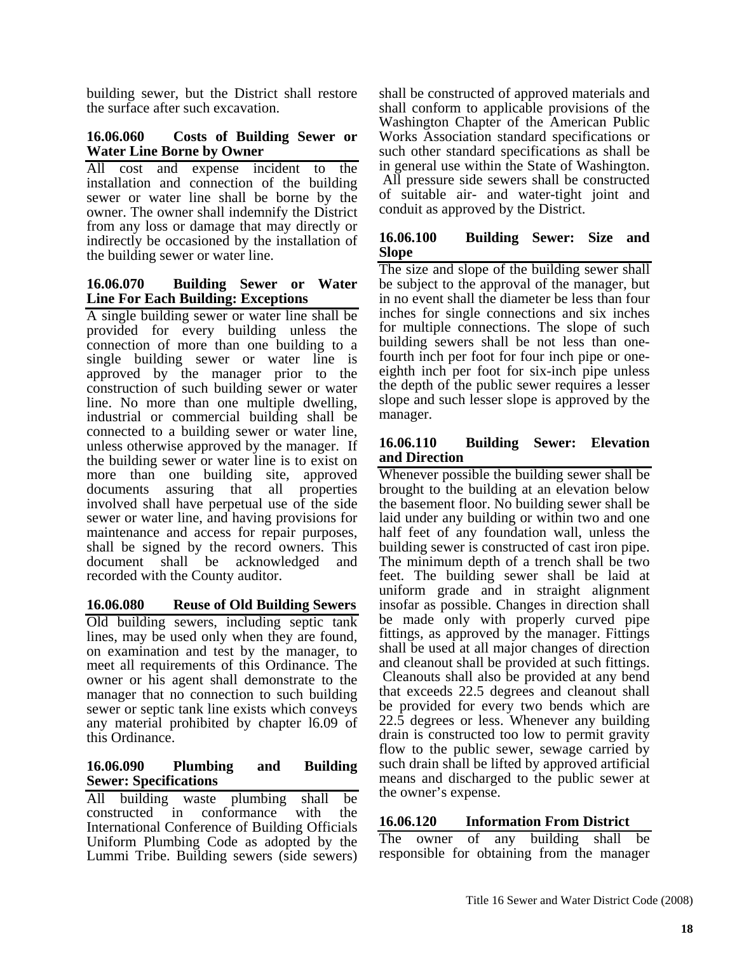building sewer, but the District shall restore the surface after such excavation.

#### **16.06.060 Costs of Building Sewer or Water Line Borne by Owner**

All cost and expense incident to the installation and connection of the building sewer or water line shall be borne by the owner. The owner shall indemnify the District from any loss or damage that may directly or indirectly be occasioned by the installation of the building sewer or water line.

#### **16.06.070 Building Sewer or Water Line For Each Building: Exceptions**

A single building sewer or water line shall be provided for every building unless the connection of more than one building to a single building sewer or water line is approved by the manager prior to the construction of such building sewer or water line. No more than one multiple dwelling, industrial or commercial building shall be connected to a building sewer or water line, unless otherwise approved by the manager. If the building sewer or water line is to exist on more than one building site, approved documents assuring that all properties involved shall have perpetual use of the side sewer or water line, and having provisions for maintenance and access for repair purposes, shall be signed by the record owners. This document shall be acknowledged and recorded with the County auditor.

## **16.06.080 Reuse of Old Building Sewers**

Old building sewers, including septic tank lines, may be used only when they are found, on examination and test by the manager, to meet all requirements of this Ordinance. The owner or his agent shall demonstrate to the manager that no connection to such building sewer or septic tank line exists which conveys any material prohibited by chapter l6.09 of this Ordinance.

#### **16.06.090 Plumbing and Building Sewer: Specifications**

All building waste plumbing shall be constructed in conformance with the International Conference of Building Officials Uniform Plumbing Code as adopted by the Lummi Tribe. Building sewers (side sewers) shall be constructed of approved materials and shall conform to applicable provisions of the Washington Chapter of the American Public Works Association standard specifications or such other standard specifications as shall be in general use within the State of Washington. All pressure side sewers shall be constructed of suitable air- and water-tight joint and conduit as approved by the District.

## **16.06.100 Building Sewer: Size and Slope**

The size and slope of the building sewer shall be subject to the approval of the manager, but in no event shall the diameter be less than four inches for single connections and six inches for multiple connections. The slope of such building sewers shall be not less than onefourth inch per foot for four inch pipe or oneeighth inch per foot for six-inch pipe unless the depth of the public sewer requires a lesser slope and such lesser slope is approved by the manager.

## **16.06.110 Building Sewer: Elevation and Direction**

Whenever possible the building sewer shall be brought to the building at an elevation below the basement floor. No building sewer shall be laid under any building or within two and one half feet of any foundation wall, unless the building sewer is constructed of cast iron pipe. The minimum depth of a trench shall be two feet. The building sewer shall be laid at uniform grade and in straight alignment insofar as possible. Changes in direction shall be made only with properly curved pipe fittings, as approved by the manager. Fittings shall be used at all major changes of direction and cleanout shall be provided at such fittings. Cleanouts shall also be provided at any bend that exceeds 22.5 degrees and cleanout shall be provided for every two bends which are 22.5 degrees or less. Whenever any building drain is constructed too low to permit gravity flow to the public sewer, sewage carried by such drain shall be lifted by approved artificial means and discharged to the public sewer at the owner's expense.

## **16.06.120 Information From District**

The owner of any building shall be responsible for obtaining from the manager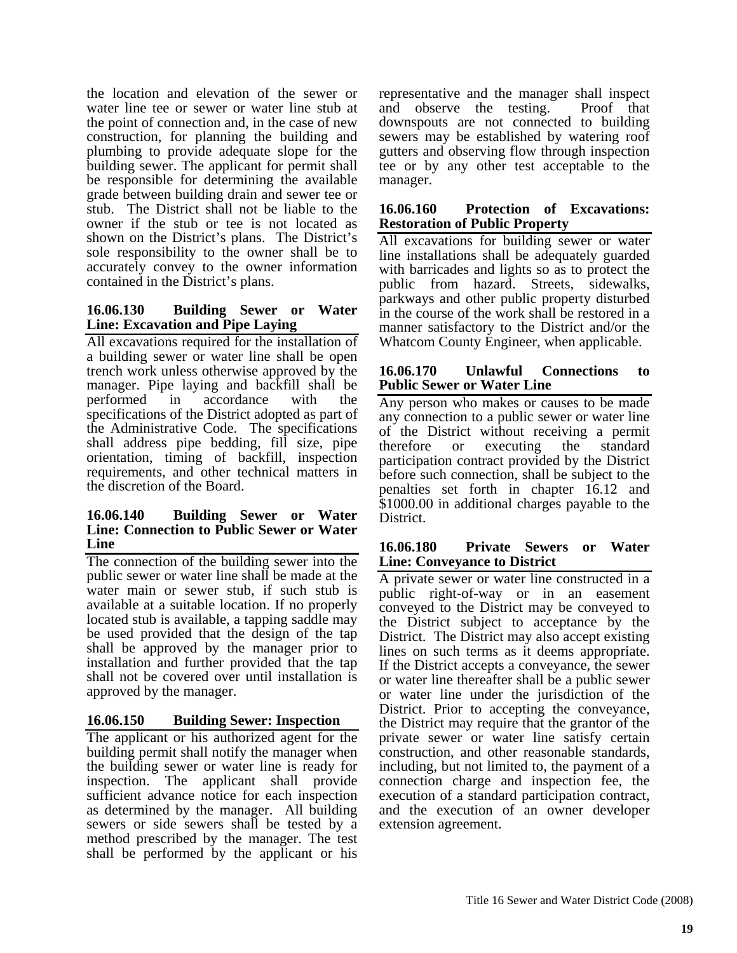the location and elevation of the sewer or water line tee or sewer or water line stub at the point of connection and, in the case of new construction, for planning the building and plumbing to provide adequate slope for the building sewer. The applicant for permit shall be responsible for determining the available grade between building drain and sewer tee or stub. The District shall not be liable to the owner if the stub or tee is not located as shown on the District's plans. The District's sole responsibility to the owner shall be to accurately convey to the owner information contained in the District's plans.

#### **16.06.130 Building Sewer or Water Line: Excavation and Pipe Laying**

All excavations required for the installation of a building sewer or water line shall be open trench work unless otherwise approved by the manager. Pipe laying and backfill shall be performed in accordance with the specifications of the District adopted as part of the Administrative Code. The specifications shall address pipe bedding, fill size, pipe orientation, timing of backfill, inspection requirements, and other technical matters in the discretion of the Board.

#### **16.06.140 Building Sewer or Water Line: Connection to Public Sewer or Water Line**

The connection of the building sewer into the public sewer or water line shall be made at the water main or sewer stub, if such stub is available at a suitable location. If no properly located stub is available, a tapping saddle may be used provided that the design of the tap shall be approved by the manager prior to installation and further provided that the tap shall not be covered over until installation is approved by the manager.

## **16.06.150 Building Sewer: Inspection**

The applicant or his authorized agent for the building permit shall notify the manager when the building sewer or water line is ready for inspection. The applicant shall provide sufficient advance notice for each inspection as determined by the manager. All building sewers or side sewers shall be tested by a method prescribed by the manager. The test shall be performed by the applicant or his

representative and the manager shall inspect and observe the testing. Proof that downspouts are not connected to building sewers may be established by watering roof gutters and observing flow through inspection tee or by any other test acceptable to the manager.

#### **16.06.160 Protection of Excavations: Restoration of Public Property**

All excavations for building sewer or water line installations shall be adequately guarded with barricades and lights so as to protect the public from hazard. Streets, sidewalks, parkways and other public property disturbed in the course of the work shall be restored in a manner satisfactory to the District and/or the Whatcom County Engineer, when applicable.

#### **16.06.170 Unlawful Connections to Public Sewer or Water Line**

Any person who makes or causes to be made any connection to a public sewer or water line of the District without receiving a permit therefore or executing the standard participation contract provided by the District before such connection, shall be subject to the penalties set forth in chapter 16.12 and \$1000.00 in additional charges payable to the District.

#### **16.06.180 Private Sewers or Water Line: Conveyance to District**

A private sewer or water line constructed in a public right-of-way or in an easement conveyed to the District may be conveyed to the District subject to acceptance by the District. The District may also accept existing lines on such terms as it deems appropriate. If the District accepts a conveyance, the sewer or water line thereafter shall be a public sewer or water line under the jurisdiction of the District. Prior to accepting the conveyance, the District may require that the grantor of the private sewer or water line satisfy certain construction, and other reasonable standards, including, but not limited to, the payment of a connection charge and inspection fee, the execution of a standard participation contract, and the execution of an owner developer extension agreement.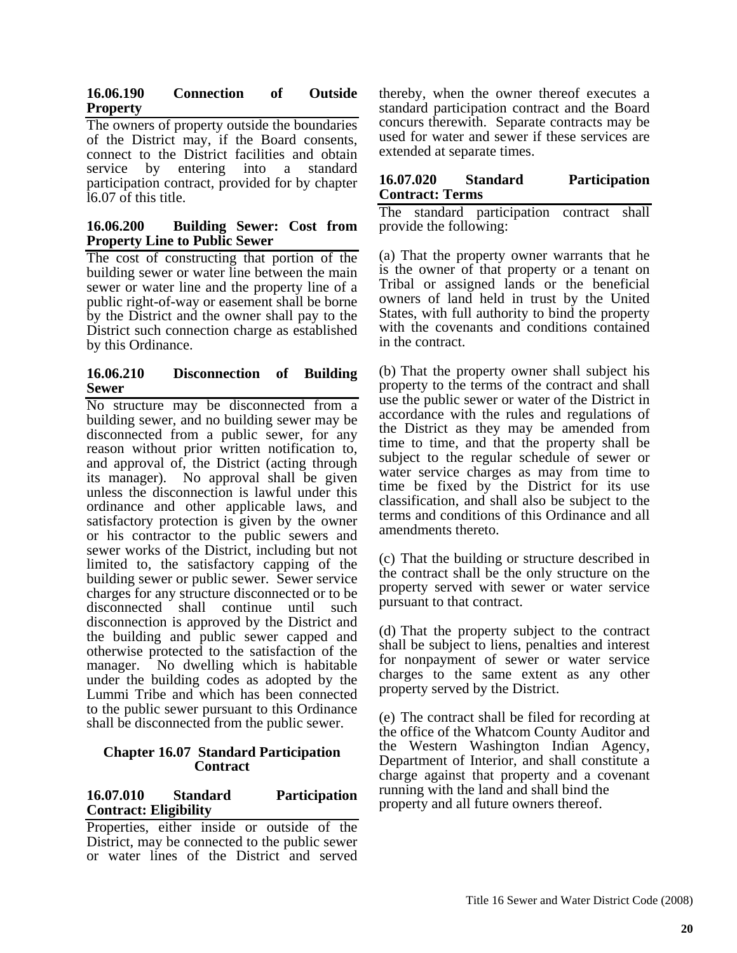## **16.06.190 Connection of Outside Property**

The owners of property outside the boundaries of the District may, if the Board consents, connect to the District facilities and obtain service by entering into a standard participation contract, provided for by chapter l6.07 of this title.

## **16.06.200 Building Sewer: Cost from Property Line to Public Sewer**

The cost of constructing that portion of the building sewer or water line between the main sewer or water line and the property line of a public right-of-way or easement shall be borne by the District and the owner shall pay to the District such connection charge as established by this Ordinance.

## **16.06.210 Disconnection of Building Sewer**

No structure may be disconnected from a building sewer, and no building sewer may be disconnected from a public sewer, for any reason without prior written notification to, and approval of, the District (acting through its manager). No approval shall be given unless the disconnection is lawful under this ordinance and other applicable laws, and satisfactory protection is given by the owner or his contractor to the public sewers and sewer works of the District, including but not limited to, the satisfactory capping of the building sewer or public sewer. Sewer service charges for any structure disconnected or to be disconnected shall continue until such disconnection is approved by the District and the building and public sewer capped and otherwise protected to the satisfaction of the manager. No dwelling which is habitable under the building codes as adopted by the Lummi Tribe and which has been connected to the public sewer pursuant to this Ordinance shall be disconnected from the public sewer.

#### **Chapter 16.07 Standard Participation Contract**

## **16.07.010 Standard Participation Contract: Eligibility**

Properties, either inside or outside of the District, may be connected to the public sewer or water lines of the District and served

thereby, when the owner thereof executes a standard participation contract and the Board concurs therewith. Separate contracts may be used for water and sewer if these services are extended at separate times.

#### **16.07.020 Standard Participation Contract: Terms**

The standard participation contract shall provide the following:

(a) That the property owner warrants that he is the owner of that property or a tenant on Tribal or assigned lands or the beneficial owners of land held in trust by the United States, with full authority to bind the property with the covenants and conditions contained in the contract.

(b) That the property owner shall subject his property to the terms of the contract and shall use the public sewer or water of the District in accordance with the rules and regulations of the District as they may be amended from time to time, and that the property shall be subject to the regular schedule of sewer or water service charges as may from time to time be fixed by the District for its use classification, and shall also be subject to the terms and conditions of this Ordinance and all amendments thereto.

(c) That the building or structure described in the contract shall be the only structure on the property served with sewer or water service pursuant to that contract.

(d) That the property subject to the contract shall be subject to liens, penalties and interest for nonpayment of sewer or water service charges to the same extent as any other property served by the District.

(e) The contract shall be filed for recording at the office of the Whatcom County Auditor and the Western Washington Indian Agency, Department of Interior, and shall constitute a charge against that property and a covenant running with the land and shall bind the property and all future owners thereof.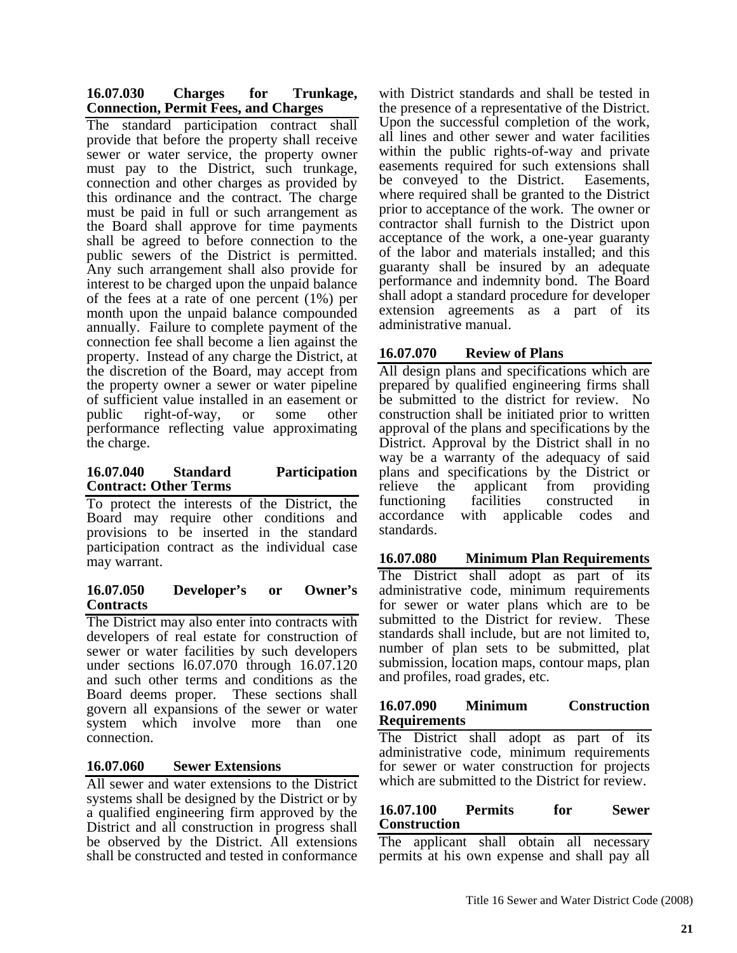| 16.07.030 | <b>Charges</b>                              | for | Trunkage, |
|-----------|---------------------------------------------|-----|-----------|
|           | <b>Connection, Permit Fees, and Charges</b> |     |           |

The standard participation contract shall provide that before the property shall receive sewer or water service, the property owner must pay to the District, such trunkage, connection and other charges as provided by this ordinance and the contract. The charge must be paid in full or such arrangement as the Board shall approve for time payments shall be agreed to before connection to the public sewers of the District is permitted. Any such arrangement shall also provide for interest to be charged upon the unpaid balance of the fees at a rate of one percent (1%) per month upon the unpaid balance compounded annually. Failure to complete payment of the connection fee shall become a lien against the property. Instead of any charge the District, at the discretion of the Board, may accept from the property owner a sewer or water pipeline of sufficient value installed in an easement or public right-of-way, or some other performance reflecting value approximating the charge.

## **16.07.040 Standard Participation Contract: Other Terms**

To protect the interests of the District, the Board may require other conditions and provisions to be inserted in the standard participation contract as the individual case may warrant.

#### **16.07.050 Developer's or Owner's Contracts**

The District may also enter into contracts with developers of real estate for construction of sewer or water facilities by such developers under sections l6.07.070 through 16.07.120 and such other terms and conditions as the Board deems proper. These sections shall govern all expansions of the sewer or water system which involve more than one connection.

## **16.07.060 Sewer Extensions**

All sewer and water extensions to the District systems shall be designed by the District or by a qualified engineering firm approved by the District and all construction in progress shall be observed by the District. All extensions shall be constructed and tested in conformance

with District standards and shall be tested in the presence of a representative of the District. Upon the successful completion of the work, all lines and other sewer and water facilities within the public rights-of-way and private easements required for such extensions shall be conveyed to the District. Easements, where required shall be granted to the District prior to acceptance of the work. The owner or contractor shall furnish to the District upon acceptance of the work, a one-year guaranty of the labor and materials installed; and this guaranty shall be insured by an adequate performance and indemnity bond. The Board shall adopt a standard procedure for developer extension agreements as a part of its administrative manual.

# **16.07.070 Review of Plans**

All design plans and specifications which are prepared by qualified engineering firms shall be submitted to the district for review. No construction shall be initiated prior to written approval of the plans and specifications by the District. Approval by the District shall in no way be a warranty of the adequacy of said plans and specifications by the District or relieve the applicant from providing functioning facilities constructed in accordance with applicable codes and standards.

# **16.07.080 Minimum Plan Requirements**

The District shall adopt as part of its administrative code, minimum requirements for sewer or water plans which are to be submitted to the District for review. These standards shall include, but are not limited to, number of plan sets to be submitted, plat submission, location maps, contour maps, plan and profiles, road grades, etc.

#### **16.07.090 Minimum Construction Requirements**

The District shall adopt as part of its administrative code, minimum requirements for sewer or water construction for projects which are submitted to the District for review.

## **16.07.100 Permits for Sewer Construction**

The applicant shall obtain all necessary permits at his own expense and shall pay all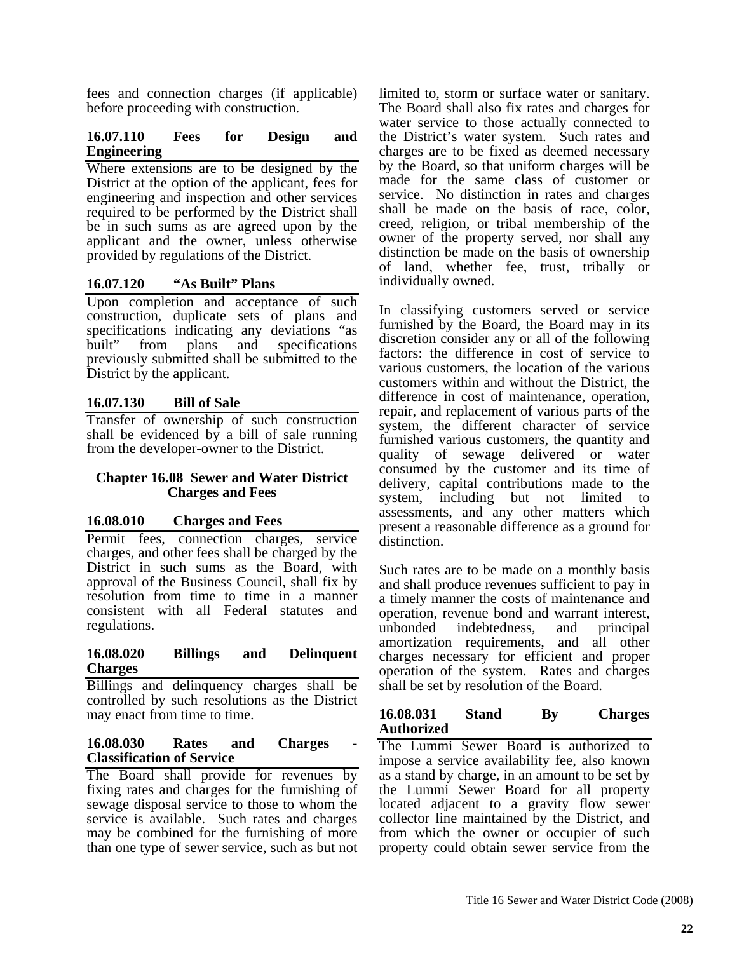fees and connection charges (if applicable) before proceeding with construction.

# **16.07.110 Fees for Design and Engineering**

Where extensions are to be designed by the District at the option of the applicant, fees for engineering and inspection and other services required to be performed by the District shall be in such sums as are agreed upon by the applicant and the owner, unless otherwise provided by regulations of the District.

# **16.07.120 "As Built" Plans**

Upon completion and acceptance of such construction, duplicate sets of plans and specifications indicating any deviations "as built" from plans and specifications previously submitted shall be submitted to the District by the applicant.

# **16.07.130 Bill of Sale**

Transfer of ownership of such construction shall be evidenced by a bill of sale running from the developer-owner to the District.

#### **Chapter 16.08 Sewer and Water District Charges and Fees**

## **16.08.010 Charges and Fees**

Permit fees, connection charges, service charges, and other fees shall be charged by the District in such sums as the Board, with approval of the Business Council, shall fix by resolution from time to time in a manner consistent with all Federal statutes and regulations.

#### **16.08.020 Billings and Delinquent Charges**

Billings and delinquency charges shall be controlled by such resolutions as the District may enact from time to time.

#### **16.08.030** Rates and Charges **Classification of Service**

The Board shall provide for revenues by fixing rates and charges for the furnishing of sewage disposal service to those to whom the service is available. Such rates and charges may be combined for the furnishing of more than one type of sewer service, such as but not

limited to, storm or surface water or sanitary. The Board shall also fix rates and charges for water service to those actually connected to the District's water system. Such rates and charges are to be fixed as deemed necessary by the Board, so that uniform charges will be made for the same class of customer or service. No distinction in rates and charges shall be made on the basis of race, color, creed, religion, or tribal membership of the owner of the property served, nor shall any distinction be made on the basis of ownership of land, whether fee, trust, tribally or individually owned.

In classifying customers served or service furnished by the Board, the Board may in its discretion consider any or all of the following factors: the difference in cost of service to various customers, the location of the various customers within and without the District, the difference in cost of maintenance, operation, repair, and replacement of various parts of the system, the different character of service furnished various customers, the quantity and quality of sewage delivered or water consumed by the customer and its time of delivery, capital contributions made to the system, including but not limited to assessments, and any other matters which present a reasonable difference as a ground for distinction.

Such rates are to be made on a monthly basis and shall produce revenues sufficient to pay in a timely manner the costs of maintenance and operation, revenue bond and warrant interest, unbonded indebtedness, and principal amortization requirements, and all other charges necessary for efficient and proper operation of the system. Rates and charges shall be set by resolution of the Board.

#### **16.08.031 Stand By Charges Authorized**

The Lummi Sewer Board is authorized to impose a service availability fee, also known as a stand by charge, in an amount to be set by the Lummi Sewer Board for all property located adjacent to a gravity flow sewer collector line maintained by the District, and from which the owner or occupier of such property could obtain sewer service from the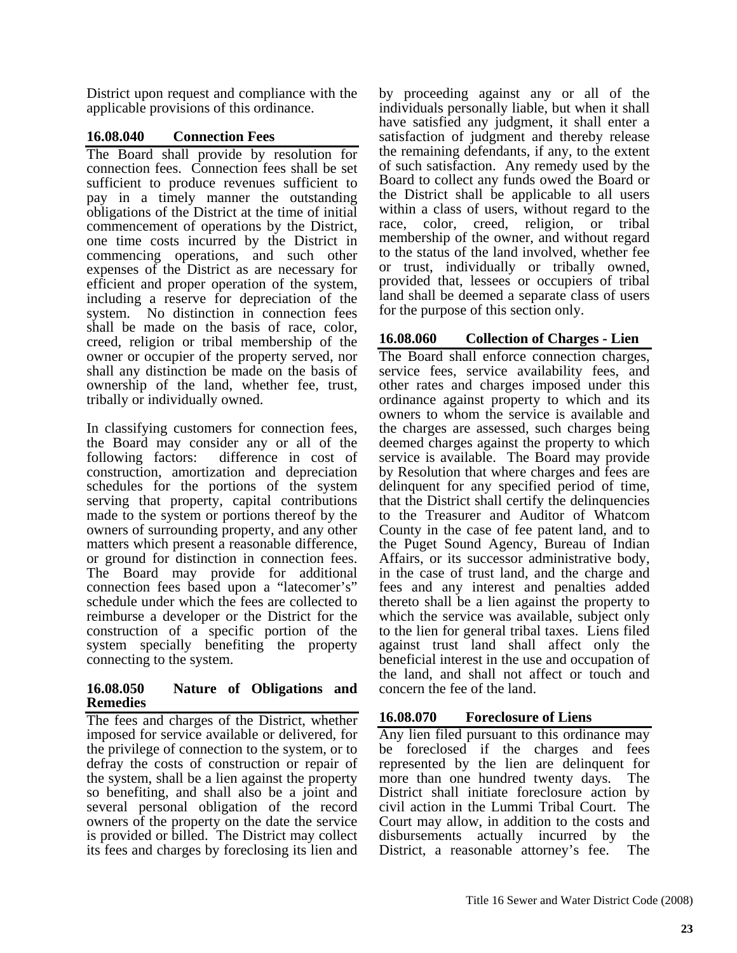District upon request and compliance with the applicable provisions of this ordinance.

# **16.08.040 Connection Fees**

The Board shall provide by resolution for connection fees. Connection fees shall be set sufficient to produce revenues sufficient to pay in a timely manner the outstanding obligations of the District at the time of initial commencement of operations by the District, one time costs incurred by the District in commencing operations, and such other expenses of the District as are necessary for efficient and proper operation of the system, including a reserve for depreciation of the system. No distinction in connection fees shall be made on the basis of race, color, creed, religion or tribal membership of the owner or occupier of the property served, nor shall any distinction be made on the basis of ownership of the land, whether fee, trust, tribally or individually owned.

In classifying customers for connection fees, the Board may consider any or all of the following factors: difference in cost of construction, amortization and depreciation schedules for the portions of the system serving that property, capital contributions made to the system or portions thereof by the owners of surrounding property, and any other matters which present a reasonable difference, or ground for distinction in connection fees. The Board may provide for additional connection fees based upon a "latecomer's" schedule under which the fees are collected to reimburse a developer or the District for the construction of a specific portion of the system specially benefiting the property connecting to the system.

#### **16.08.050 Nature of Obligations and Remedies**

The fees and charges of the District, whether imposed for service available or delivered, for the privilege of connection to the system, or to defray the costs of construction or repair of the system, shall be a lien against the property so benefiting, and shall also be a joint and several personal obligation of the record owners of the property on the date the service is provided or billed. The District may collect its fees and charges by foreclosing its lien and

by proceeding against any or all of the individuals personally liable, but when it shall have satisfied any judgment, it shall enter a satisfaction of judgment and thereby release the remaining defendants, if any, to the extent of such satisfaction. Any remedy used by the Board to collect any funds owed the Board or the District shall be applicable to all users within a class of users, without regard to the race, color, creed, religion, or tribal membership of the owner, and without regard to the status of the land involved, whether fee or trust, individually or tribally owned, provided that, lessees or occupiers of tribal land shall be deemed a separate class of users for the purpose of this section only.

# **16.08.060 Collection of Charges - Lien**

The Board shall enforce connection charges, service fees, service availability fees, and other rates and charges imposed under this ordinance against property to which and its owners to whom the service is available and the charges are assessed, such charges being deemed charges against the property to which service is available. The Board may provide by Resolution that where charges and fees are delinquent for any specified period of time, that the District shall certify the delinquencies to the Treasurer and Auditor of Whatcom County in the case of fee patent land, and to the Puget Sound Agency, Bureau of Indian Affairs, or its successor administrative body, in the case of trust land, and the charge and fees and any interest and penalties added thereto shall be a lien against the property to which the service was available, subject only to the lien for general tribal taxes. Liens filed against trust land shall affect only the beneficial interest in the use and occupation of the land, and shall not affect or touch and concern the fee of the land.

# **16.08.070 Foreclosure of Liens**

Any lien filed pursuant to this ordinance may be foreclosed if the charges and fees represented by the lien are delinquent for more than one hundred twenty days. The District shall initiate foreclosure action by civil action in the Lummi Tribal Court. The Court may allow, in addition to the costs and disbursements actually incurred by the District, a reasonable attorney's fee. The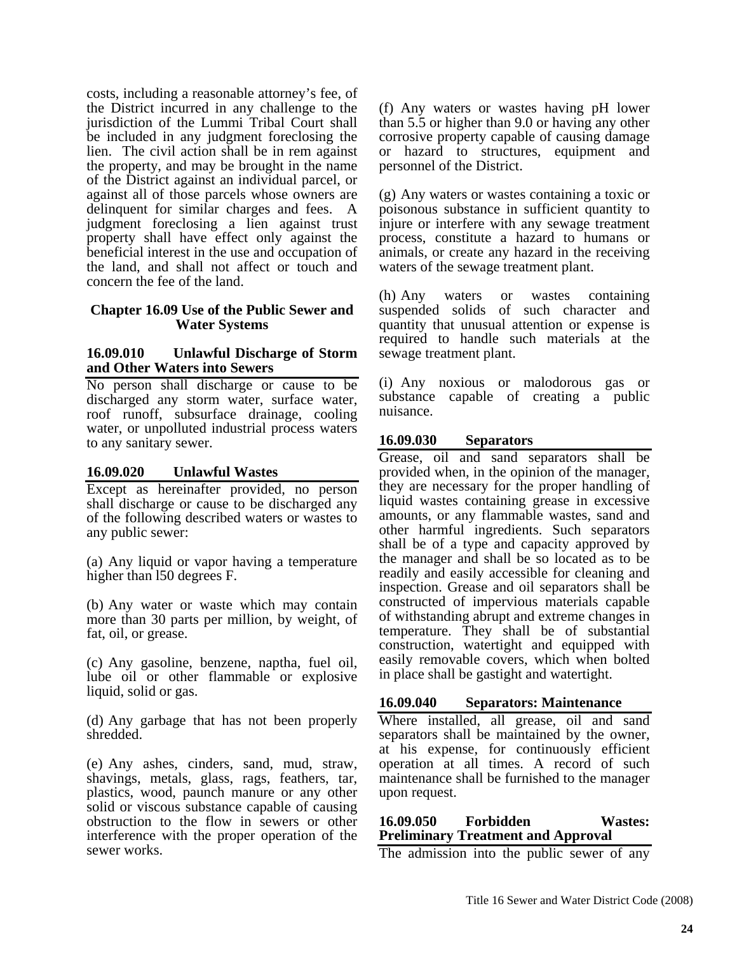costs, including a reasonable attorney's fee, of the District incurred in any challenge to the jurisdiction of the Lummi Tribal Court shall be included in any judgment foreclosing the lien. The civil action shall be in rem against the property, and may be brought in the name of the District against an individual parcel, or against all of those parcels whose owners are delinquent for similar charges and fees. A judgment foreclosing a lien against trust property shall have effect only against the beneficial interest in the use and occupation of the land, and shall not affect or touch and concern the fee of the land.

#### **Chapter 16.09 Use of the Public Sewer and Water Systems**

#### **16.09.010 Unlawful Discharge of Storm and Other Waters into Sewers**

No person shall discharge or cause to be discharged any storm water, surface water, roof runoff, subsurface drainage, cooling water, or unpolluted industrial process waters to any sanitary sewer.

#### **16.09.020 Unlawful Wastes**

Except as hereinafter provided, no person shall discharge or cause to be discharged any of the following described waters or wastes to any public sewer:

(a) Any liquid or vapor having a temperature higher than l50 degrees F.

(b) Any water or waste which may contain more than 30 parts per million, by weight, of fat, oil, or grease.

(c) Any gasoline, benzene, naptha, fuel oil, lube oil or other flammable or explosive liquid, solid or gas.

(d) Any garbage that has not been properly shredded.

(e) Any ashes, cinders, sand, mud, straw, shavings, metals, glass, rags, feathers, tar, plastics, wood, paunch manure or any other solid or viscous substance capable of causing obstruction to the flow in sewers or other interference with the proper operation of the sewer works.

(f) Any waters or wastes having pH lower than 5.5 or higher than 9.0 or having any other corrosive property capable of causing damage or hazard to structures, equipment and personnel of the District.

(g) Any waters or wastes containing a toxic or poisonous substance in sufficient quantity to injure or interfere with any sewage treatment process, constitute a hazard to humans or animals, or create any hazard in the receiving waters of the sewage treatment plant.

(h) Any waters or wastes containing suspended solids of such character and quantity that unusual attention or expense is required to handle such materials at the sewage treatment plant.

(i) Any noxious or malodorous gas or substance capable of creating a public nuisance.

## **16.09.030 Separators**

Grease, oil and sand separators shall be provided when, in the opinion of the manager, they are necessary for the proper handling of liquid wastes containing grease in excessive amounts, or any flammable wastes, sand and other harmful ingredients. Such separators shall be of a type and capacity approved by the manager and shall be so located as to be readily and easily accessible for cleaning and inspection. Grease and oil separators shall be constructed of impervious materials capable of withstanding abrupt and extreme changes in temperature. They shall be of substantial construction, watertight and equipped with easily removable covers, which when bolted in place shall be gastight and watertight.

#### **16.09.040 Separators: Maintenance**

Where installed, all grease, oil and sand separators shall be maintained by the owner, at his expense, for continuously efficient operation at all times. A record of such maintenance shall be furnished to the manager upon request.

## **16.09.050 Forbidden Wastes: Preliminary Treatment and Approval**

The admission into the public sewer of any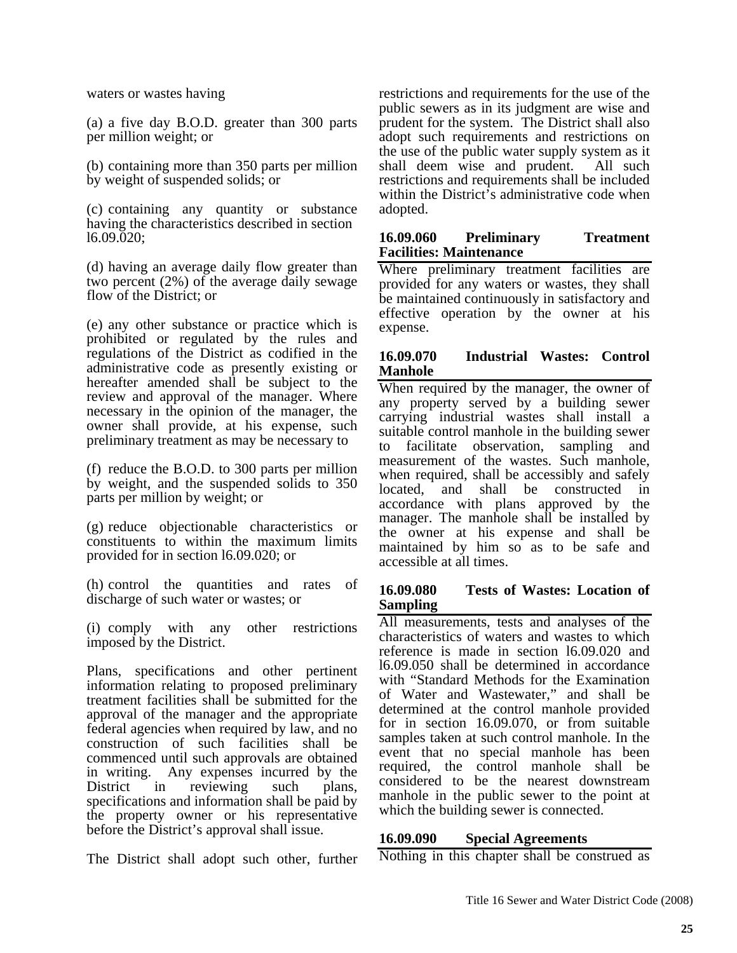waters or wastes having

(a) a five day B.O.D. greater than 300 parts per million weight; or

(b) containing more than 350 parts per million by weight of suspended solids; or

(c) containing any quantity or substance having the characteristics described in section l6.09.020;

(d) having an average daily flow greater than two percent (2%) of the average daily sewage flow of the District; or

(e) any other substance or practice which is prohibited or regulated by the rules and regulations of the District as codified in the administrative code as presently existing or hereafter amended shall be subject to the review and approval of the manager. Where necessary in the opinion of the manager, the owner shall provide, at his expense, such preliminary treatment as may be necessary to

(f) reduce the B.O.D. to 300 parts per million by weight, and the suspended solids to 350 parts per million by weight; or

(g) reduce objectionable characteristics or constituents to within the maximum limits provided for in section l6.09.020; or

(h) control the quantities and rates of discharge of such water or wastes; or

(i) comply with any other restrictions imposed by the District.

Plans, specifications and other pertinent information relating to proposed preliminary treatment facilities shall be submitted for the approval of the manager and the appropriate federal agencies when required by law, and no construction of such facilities shall be commenced until such approvals are obtained in writing. Any expenses incurred by the District in reviewing such plans, specifications and information shall be paid by the property owner or his representative before the District's approval shall issue.

The District shall adopt such other, further

restrictions and requirements for the use of the public sewers as in its judgment are wise and prudent for the system. The District shall also adopt such requirements and restrictions on the use of the public water supply system as it shall deem wise and prudent. All such restrictions and requirements shall be included within the District's administrative code when adopted.

#### **16.09.060 Preliminary Treatment Facilities: Maintenance**

Where preliminary treatment facilities are provided for any waters or wastes, they shall be maintained continuously in satisfactory and effective operation by the owner at his expense.

#### **16.09.070 Industrial Wastes: Control Manhole**

When required by the manager, the owner of any property served by a building sewer carrying industrial wastes shall install a suitable control manhole in the building sewer to facilitate observation, sampling and measurement of the wastes. Such manhole, when required, shall be accessibly and safely located, and shall be constructed in accordance with plans approved by the manager. The manhole shall be installed by the owner at his expense and shall be maintained by him so as to be safe and accessible at all times.

#### **16.09.080 Tests of Wastes: Location of Sampling**

All measurements, tests and analyses of the characteristics of waters and wastes to which reference is made in section l6.09.020 and l6.09.050 shall be determined in accordance with "Standard Methods for the Examination of Water and Wastewater," and shall be determined at the control manhole provided for in section 16.09.070, or from suitable samples taken at such control manhole. In the event that no special manhole has been required, the control manhole shall be considered to be the nearest downstream manhole in the public sewer to the point at which the building sewer is connected.

#### **16.09.090 Special Agreements**

Nothing in this chapter shall be construed as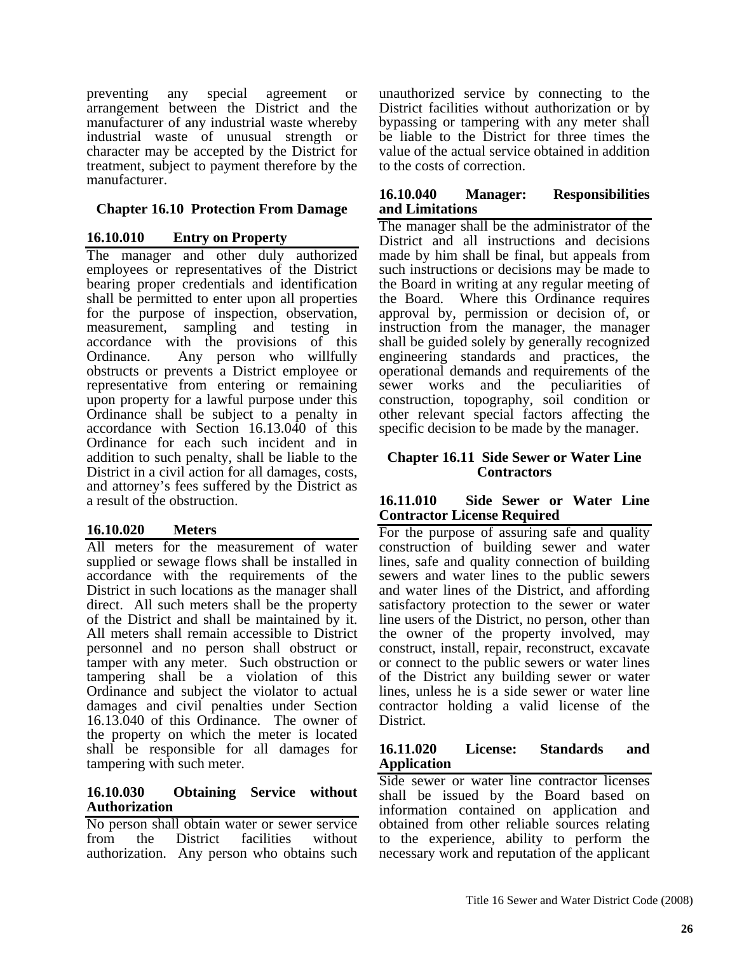preventing any special agreement or arrangement between the District and the manufacturer of any industrial waste whereby industrial waste of unusual strength or character may be accepted by the District for treatment, subject to payment therefore by the manufacturer.

# **Chapter 16.10 Protection From Damage**

# **16.10.010 Entry on Property**

The manager and other duly authorized employees or representatives of the District bearing proper credentials and identification shall be permitted to enter upon all properties for the purpose of inspection, observation, measurement, sampling and testing in accordance with the provisions of this Ordinance. Any person who willfully obstructs or prevents a District employee or representative from entering or remaining upon property for a lawful purpose under this Ordinance shall be subject to a penalty in accordance with Section 16.13.040 of this Ordinance for each such incident and in addition to such penalty, shall be liable to the District in a civil action for all damages, costs, and attorney's fees suffered by the District as a result of the obstruction.

# **16.10.020 Meters**

All meters for the measurement of water supplied or sewage flows shall be installed in accordance with the requirements of the District in such locations as the manager shall direct. All such meters shall be the property of the District and shall be maintained by it. All meters shall remain accessible to District personnel and no person shall obstruct or tamper with any meter. Such obstruction or tampering shall be a violation of this Ordinance and subject the violator to actual damages and civil penalties under Section 16.13.040 of this Ordinance. The owner of the property on which the meter is located shall be responsible for all damages for tampering with such meter.

## **16.10.030 Obtaining Service without Authorization**

No person shall obtain water or sewer service from the District facilities without authorization. Any person who obtains such

unauthorized service by connecting to the District facilities without authorization or by bypassing or tampering with any meter shall be liable to the District for three times the value of the actual service obtained in addition to the costs of correction.

#### **16.10.040 Manager: Responsibilities and Limitations**

The manager shall be the administrator of the District and all instructions and decisions made by him shall be final, but appeals from such instructions or decisions may be made to the Board in writing at any regular meeting of the Board. Where this Ordinance requires approval by, permission or decision of, or instruction from the manager, the manager shall be guided solely by generally recognized engineering standards and practices, the operational demands and requirements of the sewer works and the peculiarities of construction, topography, soil condition or other relevant special factors affecting the specific decision to be made by the manager.

#### **Chapter 16.11 Side Sewer or Water Line Contractors**

#### **16.11.010 Side Sewer or Water Line Contractor License Required**

For the purpose of assuring safe and quality construction of building sewer and water lines, safe and quality connection of building sewers and water lines to the public sewers and water lines of the District, and affording satisfactory protection to the sewer or water line users of the District, no person, other than the owner of the property involved, may construct, install, repair, reconstruct, excavate or connect to the public sewers or water lines of the District any building sewer or water lines, unless he is a side sewer or water line contractor holding a valid license of the District.

## **16.11.020 License: Standards and Application**

Side sewer or water line contractor licenses shall be issued by the Board based on information contained on application and obtained from other reliable sources relating to the experience, ability to perform the necessary work and reputation of the applicant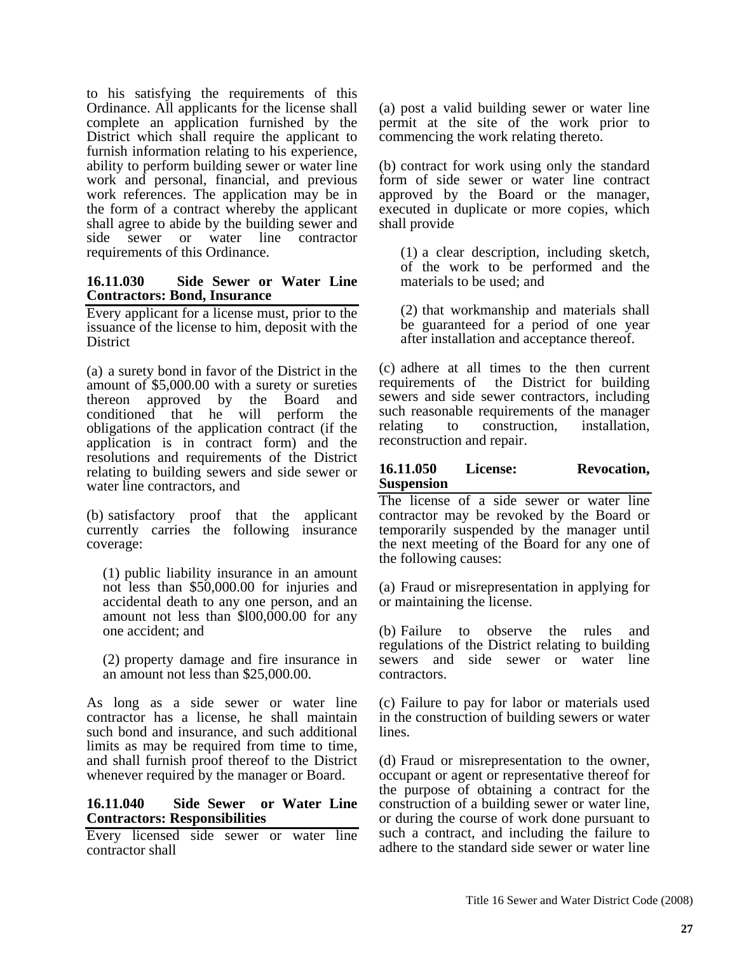to his satisfying the requirements of this Ordinance. All applicants for the license shall complete an application furnished by the District which shall require the applicant to furnish information relating to his experience, ability to perform building sewer or water line work and personal, financial, and previous work references. The application may be in the form of a contract whereby the applicant shall agree to abide by the building sewer and side sewer or water line contractor requirements of this Ordinance.

#### **16.11.030 Side Sewer or Water Line Contractors: Bond, Insurance**

Every applicant for a license must, prior to the issuance of the license to him, deposit with the **District** 

(a) a surety bond in favor of the District in the amount of \$5,000.00 with a surety or sureties thereon approved by the Board and conditioned that he will perform the obligations of the application contract (if the application is in contract form) and the resolutions and requirements of the District relating to building sewers and side sewer or water line contractors, and

(b) satisfactory proof that the applicant currently carries the following insurance coverage:

(1) public liability insurance in an amount not less than \$50,000.00 for injuries and accidental death to any one person, and an amount not less than \$l00,000.00 for any one accident; and

(2) property damage and fire insurance in an amount not less than \$25,000.00.

As long as a side sewer or water line contractor has a license, he shall maintain such bond and insurance, and such additional limits as may be required from time to time, and shall furnish proof thereof to the District whenever required by the manager or Board.

## **16.11.040 Side Sewer or Water Line Contractors: Responsibilities**

Every licensed side sewer or water line contractor shall

(a) post a valid building sewer or water line permit at the site of the work prior to commencing the work relating thereto.

(b) contract for work using only the standard form of side sewer or water line contract approved by the Board or the manager, executed in duplicate or more copies, which shall provide

(1) a clear description, including sketch, of the work to be performed and the materials to be used; and

(2) that workmanship and materials shall be guaranteed for a period of one year after installation and acceptance thereof.

(c) adhere at all times to the then current requirements of the District for building sewers and side sewer contractors, including such reasonable requirements of the manager relating to construction, installation, reconstruction and repair.

#### **16.11.050 License: Revocation, Suspension**

The license of a side sewer or water line contractor may be revoked by the Board or temporarily suspended by the manager until the next meeting of the Board for any one of the following causes:

(a) Fraud or misrepresentation in applying for or maintaining the license.

(b) Failure to observe the rules and regulations of the District relating to building sewers and side sewer or water line contractors.

(c) Failure to pay for labor or materials used in the construction of building sewers or water lines.

(d) Fraud or misrepresentation to the owner, occupant or agent or representative thereof for the purpose of obtaining a contract for the construction of a building sewer or water line, or during the course of work done pursuant to such a contract, and including the failure to adhere to the standard side sewer or water line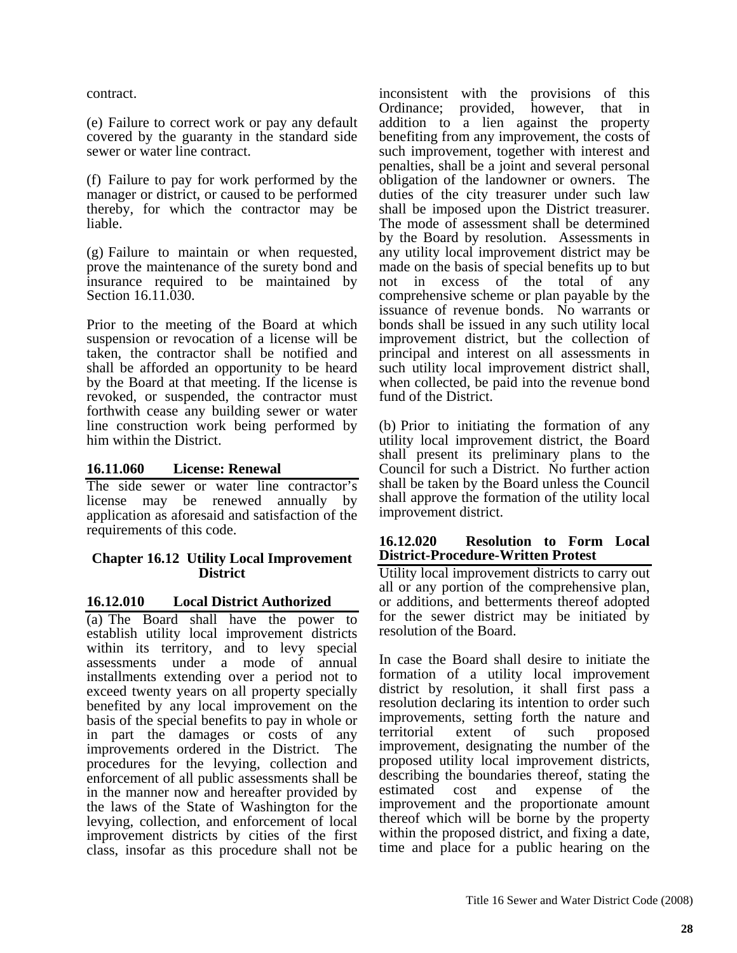contract.

(e) Failure to correct work or pay any default covered by the guaranty in the standard side sewer or water line contract.

(f) Failure to pay for work performed by the manager or district, or caused to be performed thereby, for which the contractor may be liable.

(g) Failure to maintain or when requested, prove the maintenance of the surety bond and insurance required to be maintained by Section 16.11.030.

Prior to the meeting of the Board at which suspension or revocation of a license will be taken, the contractor shall be notified and shall be afforded an opportunity to be heard by the Board at that meeting. If the license is revoked, or suspended, the contractor must forthwith cease any building sewer or water line construction work being performed by him within the District.

#### **16.11.060 License: Renewal**

The side sewer or water line contractor's license may be renewed annually by application as aforesaid and satisfaction of the requirements of this code.

#### **Chapter 16.12 Utility Local Improvement District**

#### **16.12.010 Local District Authorized**

(a) The Board shall have the power to establish utility local improvement districts within its territory, and to levy special assessments under a mode of annual installments extending over a period not to exceed twenty years on all property specially benefited by any local improvement on the basis of the special benefits to pay in whole or in part the damages or costs of any improvements ordered in the District. The procedures for the levying, collection and enforcement of all public assessments shall be in the manner now and hereafter provided by the laws of the State of Washington for the levying, collection, and enforcement of local improvement districts by cities of the first class, insofar as this procedure shall not be

inconsistent with the provisions of this<br>Ordinance; provided, however, that in provided, however, that in addition to a lien against the property benefiting from any improvement, the costs of such improvement, together with interest and penalties, shall be a joint and several personal obligation of the landowner or owners. The duties of the city treasurer under such law shall be imposed upon the District treasurer. The mode of assessment shall be determined by the Board by resolution. Assessments in any utility local improvement district may be made on the basis of special benefits up to but not in excess of the total of any comprehensive scheme or plan payable by the issuance of revenue bonds. No warrants or bonds shall be issued in any such utility local improvement district, but the collection of principal and interest on all assessments in such utility local improvement district shall, when collected, be paid into the revenue bond fund of the District.

(b) Prior to initiating the formation of any utility local improvement district, the Board shall present its preliminary plans to the Council for such a District. No further action shall be taken by the Board unless the Council shall approve the formation of the utility local improvement district.

#### **16.12.020 Resolution to Form Local District-Procedure-Written Protest**

Utility local improvement districts to carry out all or any portion of the comprehensive plan, or additions, and betterments thereof adopted for the sewer district may be initiated by resolution of the Board.

In case the Board shall desire to initiate the formation of a utility local improvement district by resolution, it shall first pass a resolution declaring its intention to order such improvements, setting forth the nature and territorial extent of such proposed improvement, designating the number of the proposed utility local improvement districts, describing the boundaries thereof, stating the estimated cost and expense of the improvement and the proportionate amount thereof which will be borne by the property within the proposed district, and fixing a date, time and place for a public hearing on the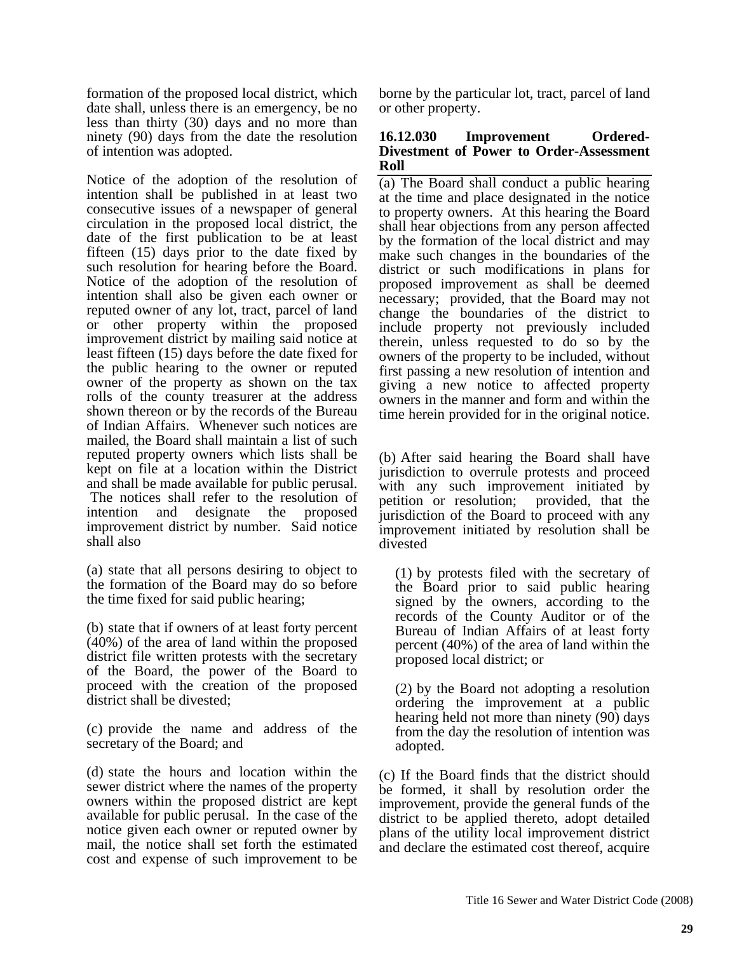formation of the proposed local district, which date shall, unless there is an emergency, be no less than thirty (30) days and no more than ninety (90) days from the date the resolution of intention was adopted.

Notice of the adoption of the resolution of intention shall be published in at least two consecutive issues of a newspaper of general circulation in the proposed local district, the date of the first publication to be at least fifteen (15) days prior to the date fixed by such resolution for hearing before the Board. Notice of the adoption of the resolution of intention shall also be given each owner or reputed owner of any lot, tract, parcel of land or other property within the proposed improvement district by mailing said notice at least fifteen (15) days before the date fixed for the public hearing to the owner or reputed owner of the property as shown on the tax rolls of the county treasurer at the address shown thereon or by the records of the Bureau of Indian Affairs. Whenever such notices are mailed, the Board shall maintain a list of such reputed property owners which lists shall be kept on file at a location within the District and shall be made available for public perusal. The notices shall refer to the resolution of intention and designate the proposed improvement district by number. Said notice shall also

(a) state that all persons desiring to object to the formation of the Board may do so before the time fixed for said public hearing;

(b) state that if owners of at least forty percent (40%) of the area of land within the proposed district file written protests with the secretary of the Board, the power of the Board to proceed with the creation of the proposed district shall be divested;

(c) provide the name and address of the secretary of the Board; and

(d) state the hours and location within the sewer district where the names of the property owners within the proposed district are kept available for public perusal. In the case of the notice given each owner or reputed owner by mail, the notice shall set forth the estimated cost and expense of such improvement to be

borne by the particular lot, tract, parcel of land or other property.

#### **16.12.030 Improvement Ordered-Divestment of Power to Order-Assessment Roll**

(a) The Board shall conduct a public hearing at the time and place designated in the notice to property owners. At this hearing the Board shall hear objections from any person affected by the formation of the local district and may make such changes in the boundaries of the district or such modifications in plans for proposed improvement as shall be deemed necessary; provided, that the Board may not change the boundaries of the district to include property not previously included therein, unless requested to do so by the owners of the property to be included, without first passing a new resolution of intention and giving a new notice to affected property owners in the manner and form and within the time herein provided for in the original notice.

(b) After said hearing the Board shall have jurisdiction to overrule protests and proceed with any such improvement initiated by petition or resolution; provided, that the jurisdiction of the Board to proceed with any improvement initiated by resolution shall be divested

(1) by protests filed with the secretary of the Board prior to said public hearing signed by the owners, according to the records of the County Auditor or of the Bureau of Indian Affairs of at least forty percent (40%) of the area of land within the proposed local district; or

(2) by the Board not adopting a resolution ordering the improvement at a public hearing held not more than ninety (90) days from the day the resolution of intention was adopted.

(c) If the Board finds that the district should be formed, it shall by resolution order the improvement, provide the general funds of the district to be applied thereto, adopt detailed plans of the utility local improvement district and declare the estimated cost thereof, acquire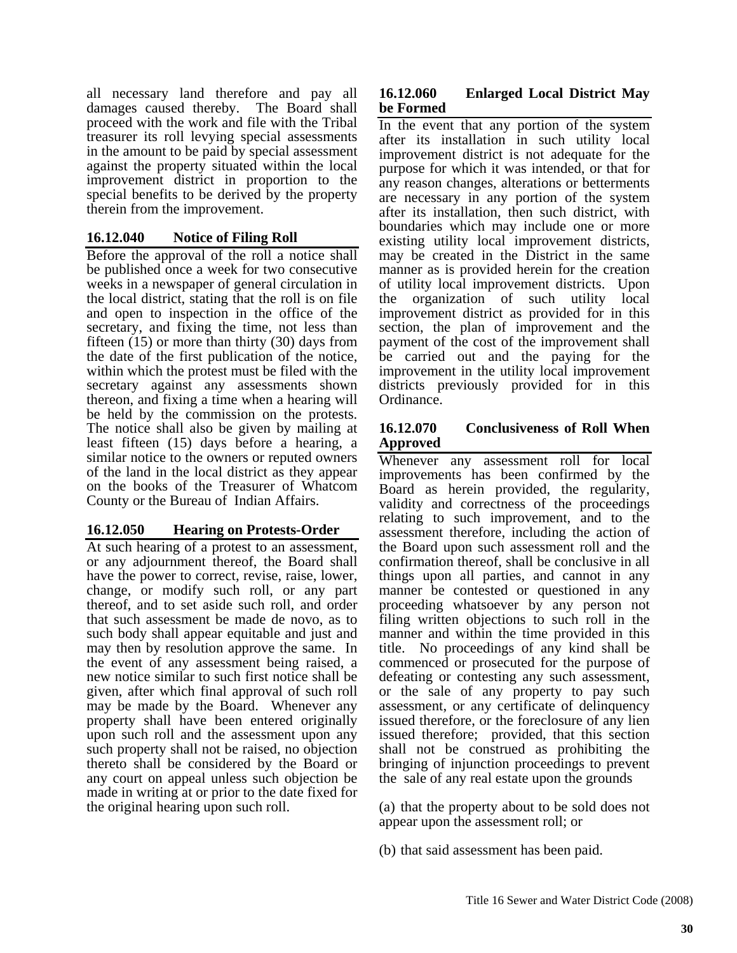all necessary land therefore and pay all damages caused thereby. The Board shall proceed with the work and file with the Tribal treasurer its roll levying special assessments in the amount to be paid by special assessment against the property situated within the local improvement district in proportion to the special benefits to be derived by the property therein from the improvement.

# **16.12.040 Notice of Filing Roll**

Before the approval of the roll a notice shall be published once a week for two consecutive weeks in a newspaper of general circulation in the local district, stating that the roll is on file and open to inspection in the office of the secretary, and fixing the time, not less than fifteen (15) or more than thirty (30) days from the date of the first publication of the notice, within which the protest must be filed with the secretary against any assessments shown thereon, and fixing a time when a hearing will be held by the commission on the protests. The notice shall also be given by mailing at least fifteen (15) days before a hearing, a similar notice to the owners or reputed owners of the land in the local district as they appear on the books of the Treasurer of Whatcom County or the Bureau of Indian Affairs.

## **16.12.050 Hearing on Protests-Order**

At such hearing of a protest to an assessment, or any adjournment thereof, the Board shall have the power to correct, revise, raise, lower, change, or modify such roll, or any part thereof, and to set aside such roll, and order that such assessment be made de novo, as to such body shall appear equitable and just and may then by resolution approve the same. In the event of any assessment being raised, a new notice similar to such first notice shall be given, after which final approval of such roll may be made by the Board. Whenever any property shall have been entered originally upon such roll and the assessment upon any such property shall not be raised, no objection thereto shall be considered by the Board or any court on appeal unless such objection be made in writing at or prior to the date fixed for the original hearing upon such roll.

# **16.12.060 Enlarged Local District May be Formed**

In the event that any portion of the system after its installation in such utility local improvement district is not adequate for the purpose for which it was intended, or that for any reason changes, alterations or betterments are necessary in any portion of the system after its installation, then such district, with boundaries which may include one or more existing utility local improvement districts, may be created in the District in the same manner as is provided herein for the creation of utility local improvement districts. Upon the organization of such utility local improvement district as provided for in this section, the plan of improvement and the payment of the cost of the improvement shall be carried out and the paying for the improvement in the utility local improvement districts previously provided for in this Ordinance.

#### **16.12.070 Conclusiveness of Roll When Approved**

Whenever any assessment roll for local improvements has been confirmed by the Board as herein provided, the regularity, validity and correctness of the proceedings relating to such improvement, and to the assessment therefore, including the action of the Board upon such assessment roll and the confirmation thereof, shall be conclusive in all things upon all parties, and cannot in any manner be contested or questioned in any proceeding whatsoever by any person not filing written objections to such roll in the manner and within the time provided in this title. No proceedings of any kind shall be commenced or prosecuted for the purpose of defeating or contesting any such assessment, or the sale of any property to pay such assessment, or any certificate of delinquency issued therefore, or the foreclosure of any lien issued therefore; provided, that this section shall not be construed as prohibiting the bringing of injunction proceedings to prevent the sale of any real estate upon the grounds

(a) that the property about to be sold does not appear upon the assessment roll; or

(b) that said assessment has been paid.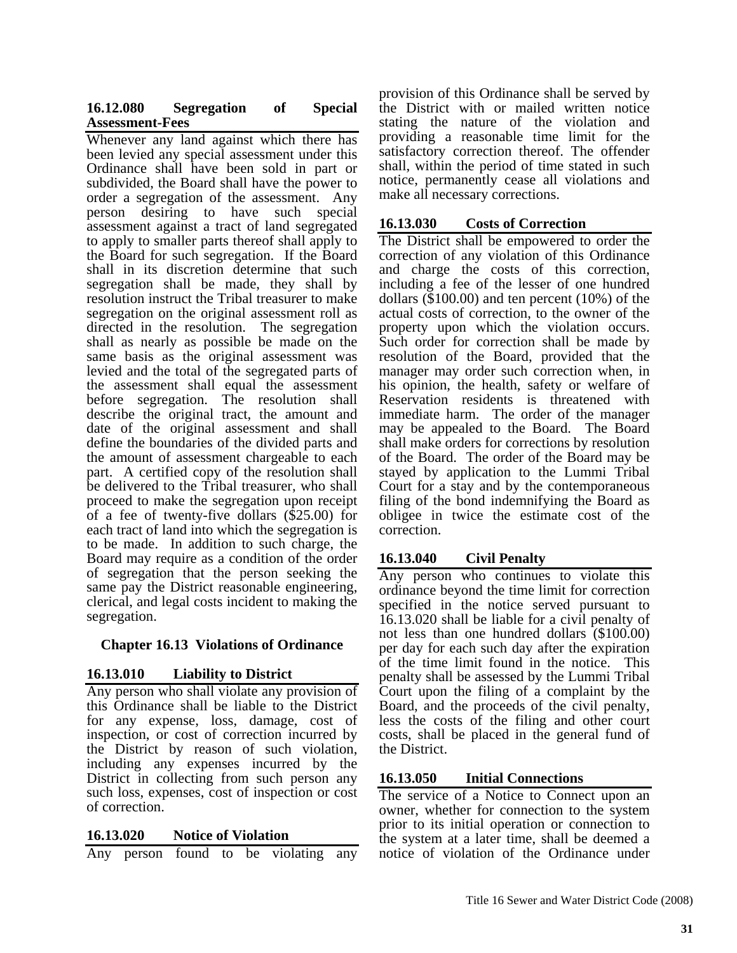# **16.12.080 Segregation of Special Assessment-Fees**

Whenever any land against which there has been levied any special assessment under this Ordinance shall have been sold in part or subdivided, the Board shall have the power to order a segregation of the assessment. Any person desiring to have such special assessment against a tract of land segregated to apply to smaller parts thereof shall apply to the Board for such segregation. If the Board shall in its discretion determine that such segregation shall be made, they shall by resolution instruct the Tribal treasurer to make segregation on the original assessment roll as directed in the resolution. The segregation shall as nearly as possible be made on the same basis as the original assessment was levied and the total of the segregated parts of the assessment shall equal the assessment before segregation. The resolution shall describe the original tract, the amount and date of the original assessment and shall define the boundaries of the divided parts and the amount of assessment chargeable to each part. A certified copy of the resolution shall be delivered to the Tribal treasurer, who shall proceed to make the segregation upon receipt of a fee of twenty-five dollars (\$25.00) for each tract of land into which the segregation is to be made. In addition to such charge, the Board may require as a condition of the order of segregation that the person seeking the same pay the District reasonable engineering, clerical, and legal costs incident to making the segregation.

# **Chapter 16.13 Violations of Ordinance**

## **16.13.010 Liability to District**

Any person who shall violate any provision of this Ordinance shall be liable to the District for any expense, loss, damage, cost of inspection, or cost of correction incurred by the District by reason of such violation, including any expenses incurred by the District in collecting from such person any such loss, expenses, cost of inspection or cost of correction.

## **16.13.020 Notice of Violation**

Any person found to be violating any

provision of this Ordinance shall be served by the District with or mailed written notice stating the nature of the violation and providing a reasonable time limit for the satisfactory correction thereof. The offender shall, within the period of time stated in such notice, permanently cease all violations and make all necessary corrections.

#### **16.13.030 Costs of Correction**

The District shall be empowered to order the correction of any violation of this Ordinance and charge the costs of this correction, including a fee of the lesser of one hundred dollars (\$100.00) and ten percent (10%) of the actual costs of correction, to the owner of the property upon which the violation occurs. Such order for correction shall be made by resolution of the Board, provided that the manager may order such correction when, in his opinion, the health, safety or welfare of Reservation residents is threatened with immediate harm. The order of the manager may be appealed to the Board. The Board shall make orders for corrections by resolution of the Board. The order of the Board may be stayed by application to the Lummi Tribal Court for a stay and by the contemporaneous filing of the bond indemnifying the Board as obligee in twice the estimate cost of the correction.

# **16.13.040 Civil Penalty**

Any person who continues to violate this ordinance beyond the time limit for correction specified in the notice served pursuant to 16.13.020 shall be liable for a civil penalty of not less than one hundred dollars (\$100.00) per day for each such day after the expiration of the time limit found in the notice. This penalty shall be assessed by the Lummi Tribal Court upon the filing of a complaint by the Board, and the proceeds of the civil penalty, less the costs of the filing and other court costs, shall be placed in the general fund of the District.

## **16.13.050 Initial Connections**

The service of a Notice to Connect upon an owner, whether for connection to the system prior to its initial operation or connection to the system at a later time, shall be deemed a notice of violation of the Ordinance under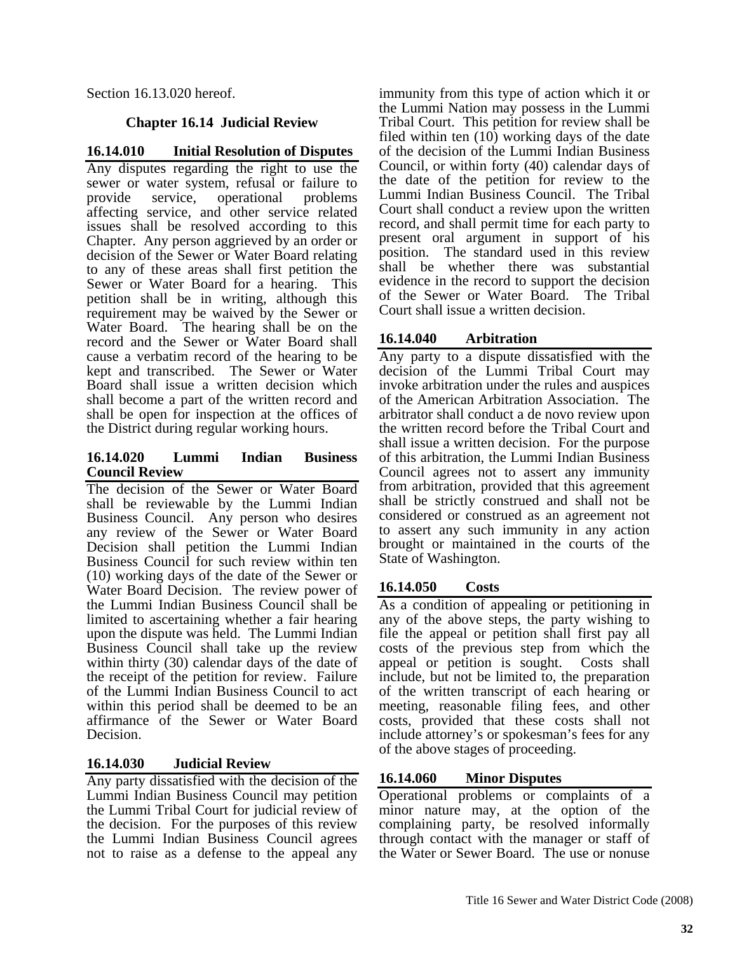Section 16.13.020 hereof.

# **Chapter 16.14 Judicial Review**

# **16.14.010 Initial Resolution of Disputes**

Any disputes regarding the right to use the sewer or water system, refusal or failure to<br>provide service, operational problems provide service, operational affecting service, and other service related issues shall be resolved according to this Chapter. Any person aggrieved by an order or decision of the Sewer or Water Board relating to any of these areas shall first petition the Sewer or Water Board for a hearing. This petition shall be in writing, although this requirement may be waived by the Sewer or Water Board. The hearing shall be on the record and the Sewer or Water Board shall cause a verbatim record of the hearing to be kept and transcribed. The Sewer or Water Board shall issue a written decision which shall become a part of the written record and shall be open for inspection at the offices of the District during regular working hours.

## **16.14.020 Lummi Indian Business Council Review**

The decision of the Sewer or Water Board shall be reviewable by the Lummi Indian Business Council. Any person who desires any review of the Sewer or Water Board Decision shall petition the Lummi Indian Business Council for such review within ten (10) working days of the date of the Sewer or Water Board Decision. The review power of the Lummi Indian Business Council shall be limited to ascertaining whether a fair hearing upon the dispute was held. The Lummi Indian Business Council shall take up the review within thirty (30) calendar days of the date of the receipt of the petition for review. Failure of the Lummi Indian Business Council to act within this period shall be deemed to be an affirmance of the Sewer or Water Board Decision.

# **16.14.030 Judicial Review**

Any party dissatisfied with the decision of the Lummi Indian Business Council may petition the Lummi Tribal Court for judicial review of the decision. For the purposes of this review the Lummi Indian Business Council agrees not to raise as a defense to the appeal any immunity from this type of action which it or the Lummi Nation may possess in the Lummi Tribal Court. This petition for review shall be filed within ten (10) working days of the date of the decision of the Lummi Indian Business Council, or within forty (40) calendar days of the date of the petition for review to the Lummi Indian Business Council. The Tribal Court shall conduct a review upon the written record, and shall permit time for each party to present oral argument in support of his position. The standard used in this review shall be whether there was substantial evidence in the record to support the decision of the Sewer or Water Board. The Tribal Court shall issue a written decision.

# **16.14.040 Arbitration**

Any party to a dispute dissatisfied with the decision of the Lummi Tribal Court may invoke arbitration under the rules and auspices of the American Arbitration Association. The arbitrator shall conduct a de novo review upon the written record before the Tribal Court and shall issue a written decision. For the purpose of this arbitration, the Lummi Indian Business Council agrees not to assert any immunity from arbitration, provided that this agreement shall be strictly construed and shall not be considered or construed as an agreement not to assert any such immunity in any action brought or maintained in the courts of the State of Washington.

# **16.14.050 Costs**

As a condition of appealing or petitioning in any of the above steps, the party wishing to file the appeal or petition shall first pay all costs of the previous step from which the appeal or petition is sought. Costs shall include, but not be limited to, the preparation of the written transcript of each hearing or meeting, reasonable filing fees, and other costs, provided that these costs shall not include attorney's or spokesman's fees for any of the above stages of proceeding.

# **16.14.060 Minor Disputes**

Operational problems or complaints of a minor nature may, at the option of the complaining party, be resolved informally through contact with the manager or staff of the Water or Sewer Board. The use or nonuse